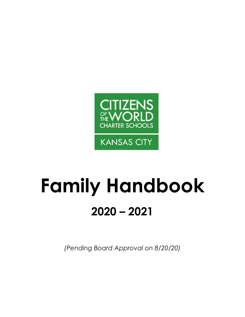

# **Family Handbook 2020 – 2021**

*(Pending Board Approval on 8/20/20)*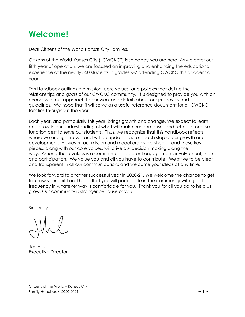# <span id="page-1-0"></span>**Welcome!**

Dear Citizens of the World Kansas City Families,

Citizens of the World Kansas City ("CWCKC") is so happy you are here! As we enter our fifth year of operation, we are focused on improving and enhancing the educational experience of the nearly 550 students in grades K-7 attending CWCKC this academic year.

This Handbook outlines the mission, core values, and policies that define the relationships and goals of our CWCKC community. It is designed to provide you with an overview of our approach to our work and details about our processes and guidelines. We hope that it will serve as a useful reference document for all CWCKC families throughout the year.

Each year, and particularly this year, brings growth and change. We expect to learn and grow in our understanding of what will make our campuses and school processes function best to serve our students. Thus, we recognize that this handbook reflects where we are right now – and will be updated across each step of our growth and development. However, our mission and model are established - - and these key pieces, along with our core values, will drive our decision making along the way. Among those values is a commitment to parent engagement, involvement, input, and participation. We value you and all you have to contribute. We strive to be clear and transparent in all our communications and welcome your ideas at any time.

We look forward to another successful year in 2020-21. We welcome the chance to get to know your child and hope that you will participate in the community with great frequency in whatever way is comfortable for you. Thank you for all you do to help us grow. Our community is stronger because of you.

Sincerely,

Jon Hile Executive Director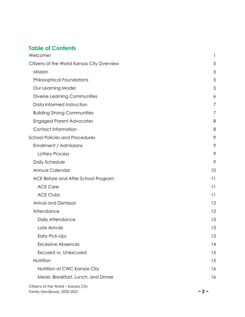### **Table of Contents**

| Welcome!                                   | 1  |
|--------------------------------------------|----|
| Citizens of the World Kansas City Overview | 5  |
| Mission                                    | 5  |
| <b>Philosophical Foundations</b>           | 5  |
| Our Learning Model                         | 5  |
| Diverse Learning Communities               | 6  |
| Data Informed Instruction                  | 7  |
| <b>Building Strong Communities</b>         | 7  |
| <b>Engaged Parent Advocates</b>            | 8  |
| Contact Information                        | 8  |
| <b>School Policies and Procedures</b>      | 9  |
| Enrollment / Admissions                    | 9  |
| Lottery Process                            | 9  |
| Daily Schedule                             | 9  |
| Annual Calendar                            | 10 |
| ACE Before and After School Program        | 11 |
| <b>ACE Care</b>                            | 11 |
| <b>ACE Clubs</b>                           | 11 |
| Arrival and Dismissal                      | 12 |
| Attendance                                 | 12 |
| Daily Attendance                           | 13 |
| Late Arrivals                              | 13 |
| <b>Early Pick-Ups</b>                      | 13 |
| <b>Excessive Absences</b>                  | 14 |
| Excused vs. Unexcused                      | 15 |
| Nutrition                                  | 15 |
| Nutrition at CWC Kansas City               |    |
| Meals: Breakfast, Lunch, and Dinner        | 16 |
|                                            |    |

Citizens of the World – Kansas City Family Handbook, 2020-2021 **~ 2 ~**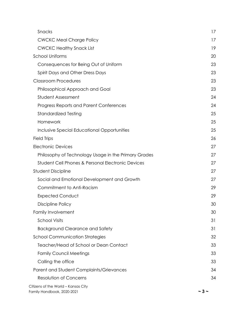| Citizens of the World - Kansas City<br>Family Handbook, 2020-2021 | ~3 ~ |
|-------------------------------------------------------------------|------|
| Resolution of Concerns                                            | 34   |
| <b>Parent and Student Complaints/Grievances</b>                   | 34   |
| Calling the office                                                | 33   |
| <b>Family Council Meetings</b>                                    | 33   |
| Teacher/Head of School or Dean Contact                            | 33   |
| <b>School Communication Strategies</b>                            | 32   |
| <b>Background Clearance and Safety</b>                            | 31   |
| <b>School Visits</b>                                              | 31   |
| <b>Family Involvement</b>                                         | 30   |
| <b>Discipline Policy</b>                                          | 30   |
| <b>Expected Conduct</b>                                           | 29   |
| Commitment to Anti-Racism                                         | 29   |
| Social and Emotional Development and Growth                       | 27   |
| <b>Student Discipline</b>                                         | 27   |
| Student Cell Phones & Personal Electronic Devices                 | 27   |
| Philosophy of Technology Usage in the Primary Grades              | 27   |
| <b>Electronic Devices</b>                                         | 27   |
| <b>Field Trips</b>                                                | 26   |
| Inclusive Special Educational Opportunities                       | 25   |
| Homework                                                          | 25   |
| <b>Standardized Testing</b>                                       | 25   |
| <b>Progress Reports and Parent Conferences</b>                    | 24   |
| <b>Student Assessment</b>                                         | 24   |
| Philosophical Approach and Goal                                   | 23   |
| <b>Classroom Procedures</b>                                       | 23   |
| Spirit Days and Other Dress Days                                  | 23   |
| Consequences for Being Out of Uniform                             | 23   |
| <b>School Uniforms</b>                                            | 20   |
| <b>CWCKC Healthy Snack List</b>                                   | 19   |
| <b>CWCKC Meal Charge Policy</b>                                   | 17   |
| Snacks                                                            | 17   |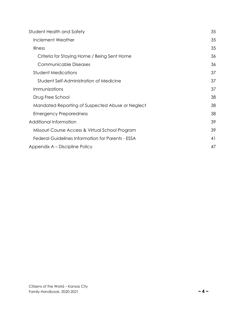| Student Health and Safety                         |    |
|---------------------------------------------------|----|
| Inclement Weather                                 |    |
| Illness                                           | 35 |
| Criteria for Staying Home / Being Sent Home       | 36 |
| <b>Communicable Diseases</b>                      | 36 |
| <b>Student Medications</b>                        | 37 |
| Student Self-Administration of Medicine           | 37 |
| Immunizations                                     | 37 |
| Drug Free School                                  | 38 |
| Mandated Reporting of Suspected Abuse or Neglect  | 38 |
| <b>Emergency Preparedness</b>                     | 38 |
| Additional Information                            | 39 |
| Missouri Course Access & Virtual School Program   | 39 |
| Federal Guidelines Information for Parents - ESSA | 41 |
| Appendix A – Discipline Policy                    | 47 |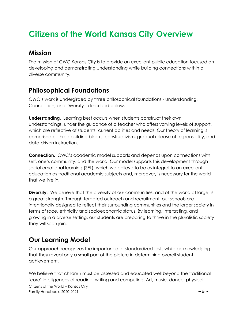# <span id="page-5-0"></span>**Citizens of the World Kansas City Overview**

### <span id="page-5-1"></span>**Mission**

The mission of CWC Kansas City is to provide an excellent public education focused on developing and demonstrating understanding while building connections within a diverse community.

### <span id="page-5-2"></span>**Philosophical Foundations**

CWC's work is undergirded by three philosophical foundations - Understanding, Connection, and Diversity - described below.

**Understanding.** Learning best occurs when students construct their own understandings, under the guidance of a teacher who offers varying levels of support, which are reflective of students' current abilities and needs. Our theory of learning is comprised of three building blocks: constructivism, gradual release of responsibility, and data-driven instruction.

**Connection.** CWC's academic model supports and depends upon connections with self, one's community, and the world. Our model supports this development through social emotional learning (SEL), which we believe to be as integral to an excellent education as traditional academic subjects and, moreover, is necessary for the world that we live in.

**Diversity.** We believe that the diversity of our communities, and of the world at large, is a great strength. Through targeted outreach and recruitment, our schools are intentionally designed to reflect their surrounding communities and the larger society in terms of race, ethnicity and socioeconomic status. By learning, interacting, and growing in a diverse setting, our students are preparing to thrive in the pluralistic society they will soon join.

### <span id="page-5-3"></span>**Our Learning Model**

Our approach recognizes the importance of standardized tests while acknowledging that they reveal only a small part of the picture in determining overall student achievement.

We believe that children must be assessed and educated well beyond the traditional "core" intelligences of reading, writing and computing. Art, music, dance, physical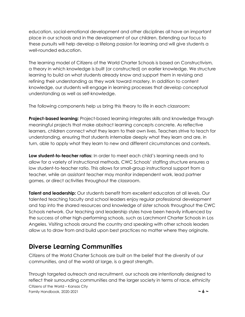education, social-emotional development and other disciplines all have an important place in our schools and in the development of our children. Extending our focus to these pursuits will help develop a lifelong passion for learning and will give students a well-rounded education.

The learning model of Citizens of the World Charter Schools is based on Constructivism, a theory in which knowledge is built (or constructed) on earlier knowledge. We structure learning to build on what students already know and support them in revising and refining their understanding as they work toward mastery. In addition to content knowledge, our students will engage in learning processes that develop conceptual understanding as well as self-knowledge.

The following components help us bring this theory to life in each classroom:

**Project-based learning:** Project-based learning integrates skills and knowledge through meaningful projects that make abstract learning concepts concrete. As reflective learners, children connect what they learn to their own lives. Teachers strive to teach for understanding, ensuring that students internalize deeply what they learn and are, in turn, able to apply what they learn to new and different circumstances and contexts.

**Low student-to-teacher ratios:** In order to meet each child's learning needs and to allow for a variety of instructional methods, CWC Schools' staffing structure ensures a low student-to-teacher ratio. This allows for small-group instructional support from a teacher, while an assistant teacher may monitor independent work, lead partner games, or direct activities throughout the classroom.

**Talent and leadership:** Our students benefit from excellent educators at all levels. Our talented teaching faculty and school leaders enjoy regular professional development and tap into the shared resources and knowledge of sister schools throughout the CWC Schools network. Our teaching and leadership styles have been heavily influenced by the success of other high-performing schools, such as Larchmont Charter Schools in Los Angeles. Visiting schools around the country and speaking with other schools leaders allow us to draw from and build upon best practices no matter where they originate.

### <span id="page-6-0"></span>**Diverse Learning Communities**

Citizens of the World Charter Schools are built on the belief that the diversity of our communities, and of the world at large, is a great strength.

Citizens of the World – Kansas City Family Handbook, 2020-2021 **~ 6 ~** Through targeted outreach and recruitment, our schools are intentionally designed to reflect their surrounding communities and the larger society in terms of race, ethnicity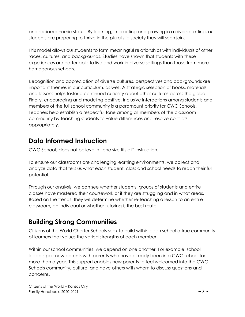and socioeconomic status. By learning, interacting and growing in a diverse setting, our students are preparing to thrive in the pluralistic society they will soon join.

This model allows our students to form meaningful relationships with individuals of other races, cultures, and backgrounds. Studies have shown that students with these experiences are better able to live and work in diverse settings than those from more homogenous schools.

Recognition and appreciation of diverse cultures, perspectives and backgrounds are important themes in our curriculum, as well. A strategic selection of books, materials and lessons helps foster a continued curiosity about other cultures across the globe. Finally, encouraging and modeling positive, inclusive interactions among students and members of the full school community is a paramount priority for CWC Schools. Teachers help establish a respectful tone among all members of the classroom community by teaching students to value differences and resolve conflicts appropriately.

### <span id="page-7-0"></span>**Data Informed Instruction**

CWC Schools does not believe in "one size fits all" instruction.

To ensure our classrooms are challenging learning environments, we collect and analyze data that tells us what each student, class and school needs to reach their full potential.

Through our analysis, we can see whether students, groups of students and entire classes have mastered their coursework or if they are struggling and in what areas. Based on the trends, they will determine whether re-teaching a lesson to an entire classroom, an individual or whether tutoring is the best route.

### <span id="page-7-1"></span>**Building Strong Communities**

Citizens of the World Charter Schools seek to build within each school a true community of learners that values the varied strengths of each member.

Within our school communities, we depend on one another. For example, school leaders pair new parents with parents who have already been in a CWC school for more than a year. This support enables new parents to feel welcomed into the CWC Schools community, culture, and have others with whom to discuss questions and concerns.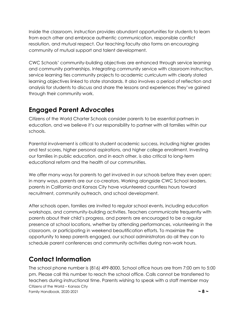Inside the classroom, instruction provides abundant opportunities for students to learn from each other and embrace authentic communication, responsible conflict resolution, and mutual respect. Our teaching faculty also forms an encouraging community of mutual support and talent development.

CWC Schools' community-building objectives are enhanced through service learning and community partnerships. Integrating community service with classroom instruction, service learning ties community projects to academic curriculum with clearly stated learning objectives linked to state standards. It also involves a period of reflection and analysis for students to discuss and share the lessons and experiences they've gained through their community work.

### <span id="page-8-0"></span>**Engaged Parent Advocates**

Citizens of the World Charter Schools consider parents to be essential partners in education, and we believe it's our responsibility to partner with all families within our schools.

Parental involvement is critical to student academic success, including higher grades and test scores, higher personal aspirations, and higher college enrollment. Investing our families in public education, and in each other, is also critical to long-term educational reform and the health of our communities.

We offer many ways for parents to get involved in our schools before they even open; in many ways, parents are our co-creators. Working alongside CWC School leaders, parents in California and Kansas City have volunteered countless hours toward recruitment, community outreach, and school development.

After schools open, families are invited to regular school events, including education workshops, and community-building activities. Teachers communicate frequently with parents about their child's progress, and parents are encouraged to be a regular presence at school locations, whether by attending performances, volunteering in the classroom, or participating in weekend beautification efforts. To maximize the opportunity to keep parents engaged, our school administrators do all they can to schedule parent conferences and community activities during non-work hours.

### <span id="page-8-1"></span>**Contact Information**

Citizens of the World – Kansas City Family Handbook, 2020-2021 **~ 8 ~** The school phone number is (816) 499-8000. School office hours are from 7:00 am to 5:00 pm. Please call this number to reach the school office. Calls cannot be transferred to teachers during instructional time. Parents wishing to speak with a staff member may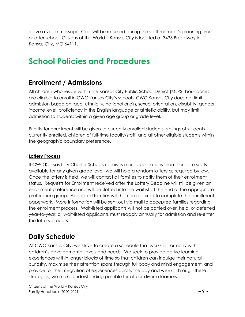leave a voice message. Calls will be returned during the staff member's planning time or after school. Citizens of the World – Kansas City is located at 3435 Broadway in Kansas City, MO 64111.

# <span id="page-9-0"></span>**School Policies and Procedures**

### <span id="page-9-1"></span>**Enrollment / Admissions**

All children who reside within the Kansas City Public School District (KCPS) boundaries are eligible to enroll in CWC Kansas City's schools. CWC Kansas City does not limit admission based on race, ethnicity, national origin, sexual orientation, disability, gender, income level, proficiency in the English language or athletic ability, but may limit admission to students within a given age group or grade level.

Priority for enrollment will be given to currently enrolled students, siblings of students currently enrolled, children of full-time faculty/staff, and all other eligible students within the geographic boundary preference.

#### <span id="page-9-2"></span>**Lottery Process**

If CWC Kansas City Charter Schools receives more applications than there are seats available for any given grade level, we will hold a random lottery as required by law. Once the lottery is held, we will contact all families to notify them of their enrollment status. Requests for Enrollment received after the Lottery Deadline will still be given an enrollment preference and will be slotted into the waitlist at the end of the appropriate preference group. Accepted families will then be required to complete the enrollment paperwork. More information will be sent out via mail to accepted families regarding the enrollment process. Wait-listed applicants will not be carried over, held, or deferred year-to-year; all wait-listed applicants must reapply annually for admission and re-enter the lottery process.

### <span id="page-9-3"></span>**Daily Schedule**

At CWC Kansas City, we strive to create a schedule that works in harmony with children's developmental levels and needs. We seek to provide active learning experiences within longer blocks of time so that children can indulge their natural curiosity, maximize their attention spans through full body and mind engagement, and provide for the integration of experiences across the day and week. Through these strategies, we make understanding possible for all our diverse learners.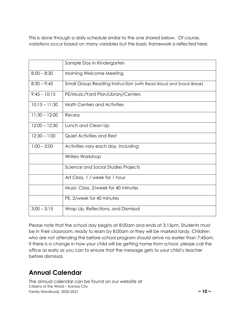This is done through a daily schedule similar to the one shared below. Of course, variations occur based on many variables but the basic framework is reflected here:

|                 | Sample Day in Kindergarten                                        |
|-----------------|-------------------------------------------------------------------|
| $8:00 - 8:30$   | Morning Welcome Meeting                                           |
| $8:30 - 9:45$   | Small Group Reading Instruction (with Read Aloud and Snack Break) |
| $9:45 - 10:15$  | PE/Music/Yard Plan/Library/Centers                                |
| $10:15 - 11:30$ | <b>Math Centers and Activities</b>                                |
| $11:30 - 12:00$ | Recess                                                            |
| $12:00 - 12:30$ | Lunch and Clean Up                                                |
| $12:30 - 1:00$  | Quiet Activities and Rest                                         |
| $1:00 - 3:00$   | Activities vary each day, including:                              |
|                 | Writers Workshop                                                  |
|                 | Science and Social Studies Projects                               |
|                 | Art Class, 1 / week for 1 hour                                    |
|                 | Music Class, 2/week for 40 minutes                                |
|                 | PE, 2/week for 40 minutes                                         |
| $3:00 - 3:15$   | Wrap Up, Reflections, and Dismissal                               |

Please note that the school day begins at 8:00am and ends at 3:15pm. Students must be in their classroom, ready to learn by 8:00am or they will be marked tardy. Children who are not attending the before school program should arrive no earlier than 7:45am. If there is a change in how your child will be getting home from school, please call the office as early as you can to ensure that the message gets to your child's teacher before dismissal.

### <span id="page-10-0"></span>**Annual Calendar**

Citizens of the World – Kansas City Family Handbook, 2020-2021 **~ 10 ~** The annual calendar can be found on our website at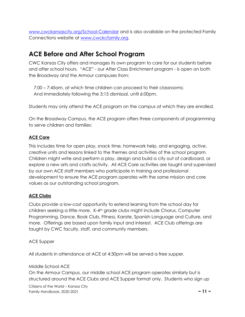[www.cwckansascity.org/School-Calendar](http://www.cwckansascity.org/School-Calendar) and is also available on the protected Family Connections website at [www.cwckcfamily.org.](http://www.cwckcfamily.org/)

### <span id="page-11-0"></span>**ACE Before and After School Program**

CWC Kansas City offers and manages its own program to care for our students before and after school hours. "ACE" - our After Class Enrichment program - is open on both the Broadway and the Armour campuses from:

 7:00 – 7:45am, at which time children can proceed to their classrooms; And immediately following the 3:15 dismissal, until 6:00pm.

Students may only attend the ACE program on the campus at which they are enrolled.

On the Broadway Campus, the ACE program offers three components of programming to serve children and families:

#### <span id="page-11-1"></span>**ACE Care**

This includes time for open play, snack time, homework help, and engaging, active, creative units and lessons linked to the themes and activities of the school program. Children might write and perform a play, design and build a city out of cardboard, or explore a new arts and crafts activity. All ACE Care activities are taught and supervised by our own ACE staff members who participate in training and professional development to ensure the ACE program operates with the same mission and core values as our outstanding school program.

#### <span id="page-11-2"></span>**ACE Clubs**

Clubs provide a low-cost opportunity to extend learning from the school day for children seeking a little more. K-4th grade clubs might include Chorus, Computer Programming, Dance, Book Club, Fitness, Karate, Spanish Language and Culture, and more. Offerings are based upon family input and interest. ACE Club offerings are taught by CWC faculty, staff, and community members.

#### ACE Supper

All students in attendance at ACE at 4:30pm will be served a free supper.

Middle School ACE On the Armour Campus, our middle school ACE program operates similarly but is structured around the ACE Clubs and ACE Supper format only. Students who sign up

Citizens of the World – Kansas City Family Handbook, 2020-2021 **~ 11 ~**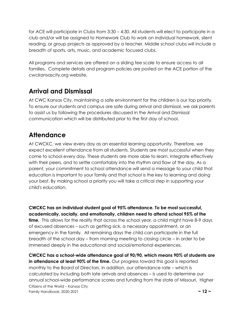for ACE will participate in Clubs from 3:30 – 4:30. All students will elect to participate in a club and/or will be assigned to Homework Club to work on individual homework, silent reading, or group projects as approved by a teacher. Middle school clubs will include a breadth of sports, arts, music, and academic focused clubs.

All programs and services are offered on a sliding fee scale to ensure access to all families. Complete details and program policies are posted on the ACE portion of the cwckansascity.org website.

### <span id="page-12-0"></span>**Arrival and Dismissal**

At CWC Kansas City, maintaining a safe environment for the children is our top priority. To ensure our students and campus are safe during arrival and dismissal, we ask parents to assist us by following the procedures discussed in the Arrival and Dismissal communication which will be distributed prior to the first day of school.

### <span id="page-12-1"></span>**Attendance**

At CWCKC, we view every day as an essential learning opportunity. Therefore, we expect excellent attendance from all students. Students are most successful when they come to school every day. These students are more able to learn, integrate effectively with their peers, and to settle comfortably into the rhythm and flow of the day. As a parent, your commitment to school attendance will send a message to your child that education is important to your family and that school is the key to learning and doing your best. By making school a priority you will take a critical step in supporting your child's education.

**CWCKC has an individual student goal of 95% attendance. To be most successful, academically, socially, and emotionally, children need to attend school 95% of the time.** This allows for the reality that across the school year, a child might have 8-9 days of excused absences – such as getting sick, a necessary appointment, or an emergency in the family. All remaining days the child can participate in the full breadth of the school day – from morning meeting to closing circle – in order to be immersed deeply in the educational and social/emotional experiences.

Citizens of the World – Kansas City Family Handbook, 2020-2021 **~ 12 ~ CWCKC has a school-wide attendance goal of 90/90, which means 90% of students are in attendance at least 90% of the time.** Our progress toward this goal is reported monthly to the Board of Directors. In addition, our attendance rate – which is calculated by including both late arrivals and absences – is used to determine our annual school-wide performance scores and funding from the state of Missouri. Higher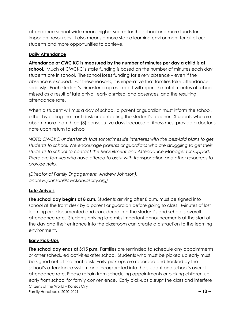attendance school-wide means higher scores for the school and more funds for important resources. It also means a more stable learning environment for all of our students and more opportunities to achieve.

#### <span id="page-13-0"></span>**Daily Attendance**

**Attendance at CWC KC is measured by the number of minutes per day a child is at school.** Much of CWCKC's state funding is based on the number of minutes each day students are in school. The school loses funding for every absence – even if the absence is excused. For these reasons, it is imperative that families take attendance seriously. Each student's trimester progress report will report the total minutes of school missed as a result of late arrival, early dismissal and absences, and the resulting attendance rate.

When a student will miss a day of school, a parent or guardian must inform the school, either by calling the front desk or contacting the student's teacher. Students who are absent more than three (3) consecutive days because of illness must provide a doctor's note upon return to school.

*NOTE: CWCKC understands that sometimes life interferes with the best-laid plans to get students to school. We encourage parents or guardians who are struggling to get their students to school to contact the Recruitment and Attendance Manager for support. There are families who have offered to assist with transportation and other resources to provide help.* 

*(Director of Family Engagement, Andrew Johnson). andrew.johnson@cwckansascity.org)*

#### <span id="page-13-1"></span>**Late Arrivals**

**The school day begins at 8 a.m.** Students arriving after 8 a.m. must be signed into school at the front desk by a parent or guardian before going to class. Minutes of lost learning are documented and considered into the student's and school's overall attendance rate. Students arriving late miss important announcements at the start of the day and their entrance into the classroom can create a distraction to the learning environment.

#### <span id="page-13-2"></span>**Early Pick-Ups**

Citizens of the World – Kansas City Family Handbook, 2020-2021 **~ 13 ~ The school day ends at 3:15 p.m.** Families are reminded to schedule any appointments or other scheduled activities after school. Students who must be picked up early must be signed out at the front desk. Early pick-ups are recorded and tracked by the school's attendance system and incorporated into the student and school's overall attendance rate. Please refrain from scheduling appointments or picking children up early from school for family convenience. Early pick-ups disrupt the class and interfere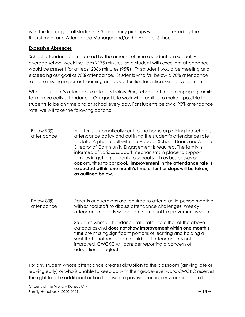with the learning of all students. Chronic early pick-ups will be addressed by the Recruitment and Attendance Manager and/or the Head of School.

#### <span id="page-14-0"></span>**Excessive Absences**

School attendance is measured by the amount of time a student is in school. An average school week includes 2175 minutes, so a student with excellent attendance would be present for at least 2066 minutes (95%). This student would be meeting and exceeding our goal of 90% attendance. Students who fall below a 90% attendance rate are missing important learning and opportunities for critical skills development.

When a student's attendance rate falls below 90%, school staff begin engaging families to improve daily attendance. Our goal is to work with families to make it possible for students to be on time and at school every day. For students below a 90% attendance rate, we will take the following actions:

Below 90% attendance A letter is automatically sent to the home explaining the school's attendance policy and outlining the student's attendance rate to date. A phone call with the Head of School, Dean, and/or the Director of Community Engagement is required. The family is informed of various support mechanisms in place to support families in getting students to school such as bus passes or opportunities to car pool. **Improvement in the attendance rate is expected within one month's time or further steps will be taken, as outlined below.**

Below 80% attendance Parents or guardians are required to attend an in-person meeting with school staff to discuss attendance challenges. Weekly attendance reports will be sent home until improvement is seen.

> Students whose attendance rate falls into either of the above categories and **does not show improvement within one month's time** are missing significant portions of learning and holding a seat that another student could fill. If attendance is not improved, CWCKC will consider reporting a concern of educational neglect.

For any student whose attendance creates disruption to the classroom (arriving late or leaving early) or who is unable to keep up with their grade-level work, CWCKC reserves the right to take additional action to ensure a positive learning environment for all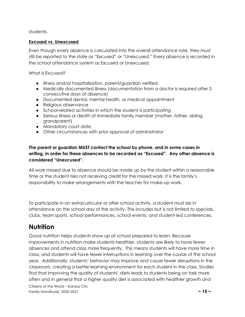students.

#### <span id="page-15-0"></span>**Excused vs. Unexcused**

Even though every absence is calculated into the overall attendance rate, they must still be reported to the state as "Excused" or "Unexcused." Every absence is recorded in the school attendance system as Excused or Unexcused.

*What is Excused?* 

- Illness and/or hospitalization, parent/guardian verified
- Medically documented illness (documentation from a doctor is required after 3 consecutive days of absence)
- Documented dental, mental health, or medical appointment
- Religious observance
- School-related activities in which the student is participating
- Serious illness or death of immediate family member (mother, father, sibling, grandparent)
- Mandatory court date
- Other circumstances with prior approval of administrator

#### **The parent or guardian MUST contact the school by phone, and in some cases in writing, in order for these absences to be recorded as "Excused". Any other absence is considered "Unexcused".**

All work missed due to absence should be made up by the student within a reasonable time or the student risks not receiving credit for the missed work. It is the family's responsibility to make arrangements with the teacher for make-up work.

To participate in an extracurricular or after school activity, a student must be in attendance on the school day of the activity. This includes but is not limited to specials, clubs, team sports, school performances, school events, and student-led conferences.

### <span id="page-15-1"></span>**Nutrition**

Good nutrition helps students show up at school prepared to learn. Because improvements in nutrition make students healthier, students are likely to have fewer absences and attend class more frequently. This means students will have more time in class, and students will have fewer interruptions in learning over the course of the school year. Additionally, students' behavior may improve and cause fewer disruptions in the classroom, creating a better learning environment for each student in the class. Studies find that improving the quality of students' diets leads to students being on task more often and in general that a higher quality diet is associated with healthier growth and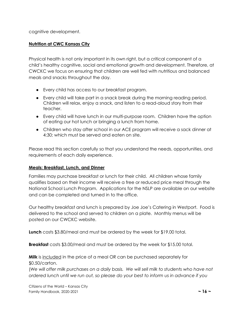cognitive development.

#### <span id="page-16-0"></span>**Nutrition at CWC Kansas City**

Physical health is not only important in its own right, but a critical component of a child's healthy cognitive, social and emotional growth and development. Therefore, at CWCKC we focus on ensuring that children are well fed with nutritious and balanced meals and snacks throughout the day.

- Every child has access to our breakfast program.
- Every child will take part in a snack break during the morning reading period. Children will relax, enjoy a snack, and listen to a read-aloud story from their teacher.
- Every child will have lunch in our multi-purpose room. Children have the option of eating our hot lunch or bringing a lunch from home.
- Children who stay after school in our ACE program will receive a sack dinner at 4:30; which must be served and eaten on site.

Please read this section carefully so that you understand the needs, opportunities, and requirements of each daily experience.

#### <span id="page-16-1"></span>**Meals: Breakfast, Lunch, and Dinner**

Families may purchase breakfast or lunch for their child. All children whose family qualifies based on their income will receive a free or reduced price meal through the National School Lunch Program. Applications for the NSLP are available on our website and can be completed and turned in to the office.

Our healthy breakfast and lunch is prepared by Joe Joe's Catering in Westport. Food is delivered to the school and served to children on a plate. Monthly menus will be posted on our CWCKC website.

**Lunch** costs \$3.80/meal and must be ordered by the week for \$19.00 total.

**Breakfast** costs \$3.00/meal and must be ordered by the week for \$15.00 total.

**Milk** is included in the price of a meal OR can be purchased separately for \$0.50/carton.

(*We will offer milk purchases on a daily basis. We will sell milk to students who have not ordered lunch until we run out, so please do your best to inform us in advance if you*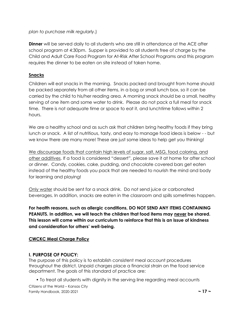*plan to purchase milk regularly*.)

**Dinner** will be served daily to all students who are still in attendance at the ACE after school program at 4:30pm. Supper is provided to all students free of charge by the Child and Adult Care Food Program for At-Risk After School Programs and this program requires the dinner to be eaten on site instead of taken home.

#### <span id="page-17-0"></span>**Snacks**

Children will eat snacks in the morning. Snacks packed and brought from home should be packed separately from all other items, in a bag or small lunch box, so it can be carried by the child to his/her reading area. A morning snack should be a small, healthy serving of one item and some water to drink. Please do not pack a full meal for snack time. There is not adequate time or space to eat it, and lunchtime follows within 2 hours.

We are a healthy school and as such ask that children bring healthy foods if they bring lunch or snack. A list of nutritious, tasty, and easy to manage food ideas is below - - but we know there are many more! These are just some ideas to help get you thinking!

We discourage foods that contain high levels of sugar, salt, MSG, food coloring, and other additives. If a food is considered "dessert", please save it at home for after school or dinner. Candy, cookies, cake, pudding, and chocolate covered bars get eaten instead of the healthy foods you pack that are needed to nourish the mind and body for learning and playing!

Only water should be sent for a snack drink. Do not send juice or carbonated beverages. In addition, snacks are eaten in the classroom and spills sometimes happen.

**For health reasons, such as allergic conditions, DO NOT SEND ANY ITEMS CONTAINING PEANUTS. In addition, we will teach the children that food items may never be shared. This lesson will come within our curriculum to reinforce that this is an issue of kindness and consideration for others' well-being.**

#### <span id="page-17-1"></span>**CWCKC Meal Charge Policy**

#### **I. PURPOSE OF POLICY:**

The purpose of this policy is to establish consistent meal account procedures throughout the district. Unpaid charges place a financial strain on the food service department. The goals of this standard of practice are:

• To treat all students with dignity in the serving line regarding meal accounts

Citizens of the World – Kansas City Family Handbook, 2020-2021 **~ 17 ~**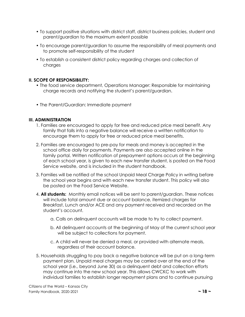- To support positive situations with district staff, district business policies, student and parent/guardian to the maximum extent possible
- To encourage parent/guardian to assume the responsibility of meal payments and to promote self-responsibility of the student
- To establish a consistent district policy regarding charges and collection of charges

#### **II. SCOPE OF RESPONSIBILITY:**

- The food service department, Operations Manager: Responsible for maintaining charge records and notifying the student's parent/guardian.
- The Parent/Guardian: Immediate payment

#### **III. ADMINISTRATION**

- 1. Families are encouraged to apply for free and reduced price meal benefit. Any family that falls into a negative balance will receive a written notification to encourage them to apply for free or reduced price meal benefits.
- 2. Families are encouraged to pre-pay for meals and money is accepted in the school office daily for payments. Payments are also accepted online in the family portal. Written notification of prepayment options occurs at the beginning of each school year, is given to each new transfer student, is posted on the Food Service website, and is included in the student handbook.
- 3. Families will be notified of the school Unpaid Meal Charge Policy in writing before the school year begins and with each new transfer student. This policy will also be posted on the Food Service Website.
- 4. **All students:** Monthly email notices will be sent to parent/guardian. These notices will include total amount due or account balance, itemized charges for Breakfast, Lunch and/or ACE and any payment received and recorded on the student's account.
	- a. Calls on delinquent accounts will be made to try to collect payment.
	- b. All delinquent accounts at the beginning of May of the current school year will be subject to collections for payment.
	- c. A child will never be denied a meal, or provided with alternate meals, regardless of their account balance.
- 5. Households struggling to pay back a negative balance will be put on a long-term payment plan. Unpaid meal charges may be carried over at the end of the school year (i.e., beyond June 30) as a delinquent debt and collection efforts may continue into the new school year. This allows CWCKC to work with individual families to establish longer repayment plans and to continue pursuing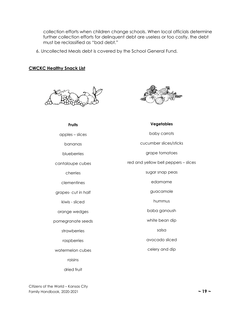collection efforts when children change schools. When local officials determine further collection efforts for delinquent debt are useless or too costly, the debt must be reclassified as "bad debt."

6. Uncollected Meals debt is covered by the School General Fund.

#### <span id="page-19-0"></span>**CWCKC Healthy Snack List**





#### **Fruits**

apples – slices

bananas

blueberries

cantaloupe cubes

cherries

clementines

grapes- cut in half

kiwis - sliced

orange wedges

pomegranate seeds

strawberries

raspberries

watermelon cubes

raisins

dried fruit

**Vegetables** baby carrots cucumber slices/sticks grape tomatoes red and yellow bell peppers – slices sugar snap peas edamame guacamole hummus baba ganoush white bean dip salsa avocado sliced celery and dip

Citizens of the World – Kansas City Family Handbook, 2020-2021 **~ 19 ~**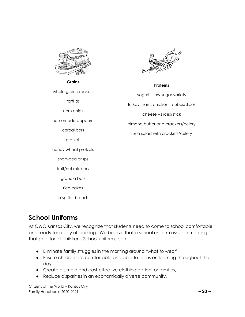

**Grains**

whole grain crackers

tortillas

corn chips

homemade popcorn

cereal bars

pretzels

honey wheat pretzels

snap-pea crisps

fruit/nut mix bars

granola bars

rice cakes

crisp flat breads



#### **Proteins**

yogurt – low sugar variety turkey, ham, chicken - cubes/slices cheese – slices/stick almond butter and crackers/celery tuna salad with crackers/celery

### <span id="page-20-0"></span>**School Uniforms**

At CWC Kansas City, we recognize that students need to come to school comfortable and ready for a day of learning. We believe that a school uniform assists in meeting that goal for all children. School uniforms can:

- Eliminate family struggles in the morning around 'what to wear',
- Ensure children are comfortable and able to focus on learning throughout the day,
- Create a simple and cost-effective clothing option for families,
- Reduce disparities in an economically diverse community,

Citizens of the World – Kansas City Family Handbook, 2020-2021 **~ 20 ~**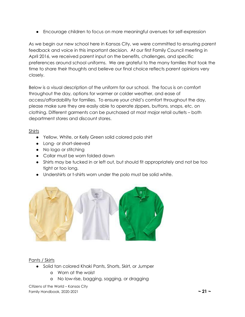● Encourage children to focus on more meaningful avenues for self-expression

As we begin our new school here in Kansas City, we were committed to ensuring parent feedback and voice in this important decision. At our first Family Council meeting in April 2016, we received parent input on the benefits, challenges, and specific preferences around school uniforms. We are grateful to the many families that took the time to share their thoughts and believe our final choice reflects parent opinions very closely.

Below is a visual description of the uniform for our school. The focus is on comfort throughout the day, options for warmer or colder weather, and ease of access/affordability for families. To ensure your child's comfort throughout the day, please make sure they are easily able to operate zippers, buttons, snaps, etc. on clothing. Different garments can be purchased at most major retail outlets – both department stores and discount stores.

Shirts

- Yellow, White, or Kelly Green solid colored polo shirt
- Long- or short-sleeved
- No logo or stitching
- Collar must be worn folded down
- Shirts may be tucked in or left out, but should fit appropriately and not be too tight or too long.
- Undershirts or t-shirts worn under the polo must be solid white.



#### Pants / Skirts

- Solid tan colored Khaki Pants, Shorts, Skirt, or Jumper
	- o Worn at the waist
	- o No low-rise, bagging, sagging, or dragging

Citizens of the World – Kansas City Family Handbook, 2020-2021 **~ 21 ~**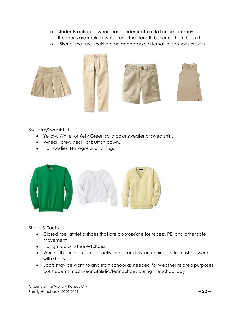- o Students opting to wear shorts underneath a skirt or jumper may do so if the shorts are khaki or white, and their length is shorter than the skirt.
- o "Skorts" that are khaki are an acceptable alternative to shorts or skirts.









#### Sweater/Sweatshirt

- Yellow, White, or Kelly Green solid color sweater or sweatshirt.
- V-neck, crew neck, or button down.
- No hoodies; No logos or stitching.



#### Shoes & Socks

- Closed toe, athletic shoes that are appropriate for recess, PE, and other safe movement
- No light-up or wheeled shoes
- White athletic socks, knee socks, tights, anklets, or running socks must be worn with shoes
- Boots may be worn to and from school as needed for weather related purposes, but students must wear athletic/tennis shoes during the school day

Citizens of the World – Kansas City Family Handbook, 2020-2021 **~ 22 ~**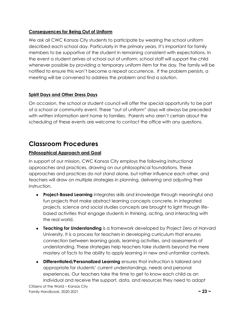#### <span id="page-23-0"></span>**Consequences for Being Out of Uniform**

We ask all CWC Kansas City students to participate by wearing the school uniform described each school day. Particularly in the primary years, it's important for family members to be supportive of the student in remaining consistent with expectations. In the event a student arrives at school out of uniform, school staff will support the child whenever possible by providing a temporary uniform item for the day. The family will be notified to ensure this won't become a repeat occurrence. If the problem persists, a meeting will be convened to address the problem and find a solution.

#### <span id="page-23-1"></span>**Spirit Days and Other Dress Days**

On occasion, the school or student council will offer the special opportunity to be part of a school or community event. These "out of uniform" days will always be preceded with written information sent home to families. Parents who aren't certain about the scheduling of these events are welcome to contact the office with any questions.

### <span id="page-23-2"></span>**Classroom Procedures**

#### <span id="page-23-3"></span>**Philosophical Approach and Goal**

In support of our mission, CWC Kansas City employs the following instructional approaches and practices, drawing on our philosophical foundations. These approaches and practices do not stand alone, but rather influence each other, and teachers will draw on multiple strategies in planning, delivering and adjusting their instruction.

- **Project-Based Learning** integrates skills and knowledge through meaningful and fun projects that make abstract learning concepts concrete. In integrated projects, science and social studies concepts are brought to light through lifebased activities that engage students in thinking, acting, and interacting with the real world.
- **Teaching for Understanding** is a framework developed by Project Zero at Harvard University. It is a process for teachers in developing curriculum that ensures connection between learning goals, learning activities, and assessments of understanding. These strategies help teachers take students beyond the mere mastery of facts to the ability to apply learning in new and unfamiliar contexts.
- **Differentiated/Personalized Learning** ensures that instruction is tailored and appropriate for students' current understandings, needs and personal experiences. Our teachers take the time to get to know each child as an individual and receive the support, data, and resources they need to adapt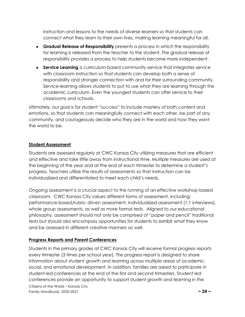instruction and lessons to the needs of diverse learners so that students can connect what they learn to their own lives, making learning meaningful for all.

- **Gradual Release of Responsibility** presents a process in which the responsibility for learning is released from the teacher to the student. The gradual release of responsibility provides a process to help students become more independent.
- **Service Learning** is curriculum-based community service that integrates service with classroom instruction so that students can develop both a sense of responsibility and stronger connection with and for their surrounding community. Service‐learning allows students to put to use what they are learning through the academic curriculum. Even the youngest students can offer service to their classrooms and schools.

Ultimately, our goal is for student "success" to include mastery of both content and emotions, so that students can meaningfully connect with each other, be part of any community, and courageously decide who they are in the world and how they want the world to be.

#### <span id="page-24-0"></span>**Student Assessment**

Students are assessed regularly at CWC Kansas City utilizing measures that are efficient and effective and take little away from instructional time. Multiple measures are used at the beginning of the year and at the end of each trimester to determine a student's progress. Teachers utilize the results of assessments so that instruction can be individualized and differentiated to meet each child's needs.

Ongoing assessment is a crucial aspect to the running of an effective workshop-based classroom. CWC Kansas City values different forms of assessment, including: performance-based/rubric driven assessment, individualized assessment (1:1 interviews), whole group assessments, as well as more formal tests. Aligned to our educational philosophy, assessment should not only be comprised of "paper and pencil" traditional tests but should also encompass opportunities for students to exhibit what they know and be assessed in different creative manners as well.

#### <span id="page-24-1"></span>**Progress Reports and Parent Conferences**

Citizens of the World – Kansas City Family Handbook, 2020-2021 **~ 24 ~** Students in the primary grades at CWC Kansas City will receive formal progress reports every trimester (3 times per school year). The progress report is designed to share information about student growth and learning across multiple areas of academic, social, and emotional development. In addition, families are asked to participate in student led conferences at the end of the first and second trimesters. Student led conferences provide an opportunity to support student growth and learning in the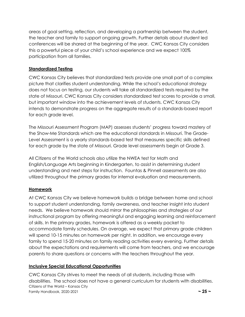areas of goal setting, reflection, and developing a partnership between the student, the teacher and family to support ongoing growth. Further details about student led conferences will be shared at the beginning of the year. CWC Kansas City considers this a powerful piece of your child's school experience and we expect 100% participation from all families.

#### <span id="page-25-0"></span>**Standardized Testing**

CWC Kansas City believes that standardized tests provide one small part of a complex picture that clarifies student understanding. While the school's educational strategy does not focus on testing, our students will take all standardized tests required by the state of Missouri. CWC Kansas City considers standardized test scores to provide a small, but important window into the achievement levels of students. CWC Kansas City intends to demonstrate progress on the aggregate results of a standards-based report for each grade level.

The Missouri Assessment Program (MAP) assesses students' progress toward mastery of the Show-Me Standards which are the educational standards in Missouri. The Grade-Level Assessment is a yearly standards-based test that measures specific skills defined for each grade by the state of Missouri. Grade level assessments begin at Grade 3.

All Citizens of the World schools also utilize the NWEA test for Math and English/Language Arts beginning in Kindergarten, to assist in determining student understanding and next steps for instruction. Fountas & Pinnell assessments are also utilized throughout the primary grades for internal evaluation and measurements.

#### <span id="page-25-1"></span>**Homework**

At CWC Kansas City we believe homework builds a bridge between home and school to support student understanding, family awareness, and teacher insight into student needs. We believe homework should mirror the philosophies and strategies of our instructional program by offering meaningful and engaging learning and reinforcement of skills. In the primary grades, homework is offered as a weekly packet to accommodate family schedules. On average, we expect that primary grade children will spend 10-15 minutes on homework per night. In addition, we encourage every family to spend 15-20 minutes on family reading activities every evening. Further details about the expectations and requirements will come from teachers, and we encourage parents to share questions or concerns with the teachers throughout the year.

#### <span id="page-25-2"></span>**Inclusive Special Educational Opportunities**

Citizens of the World – Kansas City Family Handbook, 2020-2021 **~ 25 ~** CWC Kansas City strives to meet the needs of all students, including those with disabilities. The school does not have a general curriculum for students with disabilities.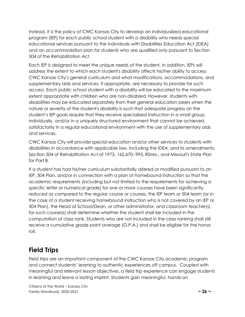Instead, it is the policy of CWC Kansas City to develop an individualized educational program (IEP) for each public school student with a disability who needs special educational services pursuant to the Individuals with Disabilities Education Act (IDEA) and an accommodation plan for students who are qualified only pursuant to Section 504 of the Rehabilitation Act.

Each IEP is designed to meet the unique needs of the student. In addition, IEPs will address the extent to which each student's disability affects his/her ability to access CWC Kansas City's general curriculum and what modifications, accommodations, and supplementary aids and services, if appropriate, are necessary to provide for such access. Each public school student with a disability will be educated to the maximum extent appropriate with children who are non-disabled. However, students with disabilities may be educated separately from their general education peers when the nature or severity of the student's disability is such that adequate progress on the student's IEP goals require that they receive specialized instruction in a small group, individually, and/or in a uniquely structured environment that cannot be achieved satisfactorily in a regular educational environment with the use of supplementary aids and services.

CWC Kansas City will provide special education and/or other services to students with disabilities in accordance with applicable law, including the IDEA, and its amendments, Section 504 of Rehabilitation Act of 1973, 162.670-.995, RSMo., and Missouri's State Plan for Part B.

If a student has had his/her curriculum substantially altered or modified pursuant to an IEP, 504 Plan, and/or in connection with a plan of homebound instruction so that the academic requirements (including but not limited to the requirements for achieving a specific letter or numerical grade) for one or more courses have been significantly reduced as compared to the regular course or courses, the IEP team or 504 team (or in the case of a student receiving homebound instruction who is not covered by an IEP or 504 Plan), the Head of School/Dean, or other administrator, and classroom teacher(s) for such course(s) shall determine whether the student shall be included in the computation of class rank. Students who are not included in the class ranking shall still receive a cumulative grade point average (G.P.A.) and shall be eligible for the honor roll.

### <span id="page-26-0"></span>**Field Trips**

Field trips are an important component of the CWC Kansas City academic program and connect students' learning to authentic experiences off campus. Coupled with meaningful and relevant lesson objectives, a field trip experience can engage students in learning and leave a lasting imprint. Students gain meaningful, hands-on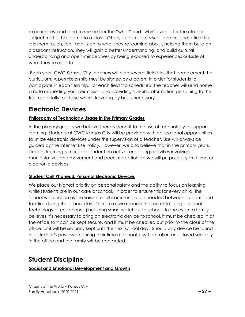experiences, and tend to remember the "what" and "why" even after the class or subject matter has come to a close. Often, students are visual learners and a field trip lets them touch, feel, and listen to what they're learning about, helping them build on classroom instruction. They will gain a better understanding, and build cultural understanding and open-mindedness by being exposed to experiences outside of what they're used to.

Each year, CWC Kansas City teachers will plan several field trips that complement the curriculum. A permission slip must be signed by a parent in order for students to participate in each field trip. For each field trip scheduled, the teacher will send home a note requesting your permission and providing specific information pertaining to the trip, especially for those where traveling by bus is necessary.

### <span id="page-27-0"></span>**Electronic Devices**

#### <span id="page-27-1"></span>**Philosophy of Technology Usage in the Primary Grades**

In the primary grades we believe there is benefit to the use of technology to support learning. Students at CWC Kansas City will be provided with educational opportunities to utilize electronic devices under the supervision of a teacher. Use will always be guided by the Internet Use Policy. However, we also believe that in the primary years, student learning is more dependent on active, engaging activities involving manipulatives and movement and peer interaction, so we will purposefully limit time on electronic devices.

#### <span id="page-27-2"></span>**Student Cell Phones & Personal Electronic Devices**

We place our highest priority on personal safety and the ability to focus on learning while students are in our care at school. In order to ensure this for every child, the school will function as the liaison for all communication needed between students and families during the school day. Therefore, we request that no child bring personal technology or cell phones (including smart watches) to school. In the event a family believes it's necessary to bring an electronic device to school, it must be checked in at the office so it can be kept secure, and it must be checked out prior to the close of the office, or it will be securely kept until the next school day. Should any device be found in a student's possession during their time at school, it will be taken and stored securely in the office and the family will be contacted.

### <span id="page-27-3"></span>**Student Discipline**

#### <span id="page-27-4"></span>**Social and Emotional Development and Growth**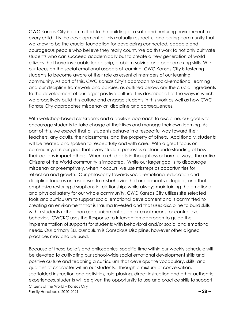CWC Kansas City is committed to the building of a safe and nurturing environment for every child. It is the development of this mutually respectful and caring community that we know to be the crucial foundation for developing connected, capable and courageous people who believe they really count. We do this work to not only cultivate students who can succeed academically but to create a new generation of world citizens that have invaluable leadership, problem-solving and peacemaking skills. With our focus on the social emotional aspects of learning, CWC Kansas City is fostering students to become aware of their role as essential members of our learning community. As part of this, CWC Kansas City's approach to social-emotional learning and our discipline framework and policies, as outlined below, are the crucial ingredients to the development of our larger positive culture. This describes all of the ways in which we proactively build this culture and engage students in this work as well as how CWC Kansas City approaches misbehavior, discipline and consequences.

With workshop-based classrooms and a positive approach to discipline, our goal is to encourage students to take charge of their lives and manage their own learning. As part of this, we expect that all students behave in a respectful way toward their teachers, any adults, their classmates, and the property of others. Additionally, students will be treated and spoken to respectfully and with care. With a great focus on community, it is our goal that every student possesses a clear understanding of how their actions impact others. When a child acts in thoughtless or harmful ways, the entire Citizens of the World community is impacted. While our larger goal is to discourage misbehavior preemptively, when it occurs, we use missteps as opportunities for reflection and growth. Our philosophy towards social-emotional education and discipline focuses on responses to misbehavior that are educative, logical, and that emphasize restoring disruptions in relationships while always maintaining the emotional and physical safety for our whole community. CWC Kansas City utilizes site selected tools and curriculum to support social emotional development and is committed to creating an environment that is Trauma Invested and that uses discipline to build skills within students rather than use punishment as an external means for control over behavior. CWCKC uses the Response to Intervention approach to guide the implementation of supports for students with behavioral and/or social and emotional needs. Our primary SEL curriculum is Conscious Discipline, however other aligned practices may also be used.

Citizens of the World – Kansas City Family Handbook, 2020-2021 **~ 28 ~** Because of these beliefs and philosophies, specific time within our weekly schedule will be devoted to cultivating our school-wide social emotional development skills and positive culture and teaching a curriculum that develops the vocabulary, skills, and qualities of character within our students. Through a mixture of conversation, scaffolded instruction and activities, role-playing, direct instruction and other authentic experiences, students will be given the opportunity to use and practice skills to support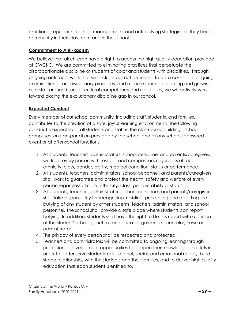emotional regulation, conflict management, and anti-bullying strategies as they build community in their classroom and in the school.

#### <span id="page-29-0"></span>**Commitment to Anti-Racism**

We believe that all children have a right to access the high quality education provided at CWCKC. We are committed to eliminating practices that perpetuate the disproportionate discipline of students of color and students with disabilities. Through ongoing anti-racist work that will include but not be limited to data collection, ongoing examination of our disciplinary practices, and a commitment to learning and growing as a staff around issues of cultural competency and racial bias, we will actively work toward closing the exclusionary discipline gap in our school.

#### <span id="page-29-1"></span>**Expected Conduct**

Every member of our school community, including staff, students, and families, contributes to the creation of a safe, joyful learning environment. The following conduct is expected of all students and staff in the classrooms, buildings, school campuses, on transportation provided by the school and at any school‐sponsored event or at after‐school functions:

- 1. All students, teachers, administrators, school personnel and parents/caregivers will treat every person with respect and compassion, regardless of race, ethnicity, class, gender, ability, medical condition, status or performance.
- 2. All students, teachers, administrators, school personnel, and parents/caregivers shall work to guarantee and protect the health, safety and welfare of every person regardless of race, ethnicity, class, gender, ability or status.
- 3. All students, teachers, administrators, school personnel, and parents/caregivers shall take responsibility for recognizing, resisting, preventing and reporting the bullying of any student by other students, teachers, administrators, and school personnel. The school shall provide a safe place where students can report bullying. In addition, students shall have the right to file this report with a person of the student's choice, such as an educator, guidance counselor, nurse or administrator.
- 4. The privacy of every person shall be respected and protected.
- 5. Teachers and administrators will be committed to ongoing learning through professional development opportunities to deepen their knowledge and skills in order to better serve students educational, social, and emotional needs, build strong relationships with the students and their families, and to deliver high quality education that each student is entitled to.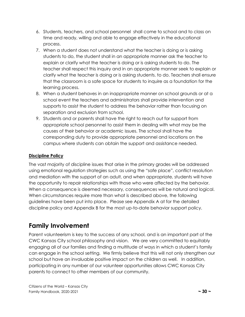- 6. Students, teachers, and school personnel shall come to school and to class on time and ready, willing and able to engage effectively in the educational process.
- 7. When a student does not understand what the teacher is doing or is asking students to do, the student shall in an appropriate manner ask the teacher to explain or clarify what the teacher is doing or is asking students to do. The teacher shall respect this inquiry and in an appropriate manner seek to explain or clarify what the teacher is doing or is asking students. to do. Teachers shall ensure that the classroom is a safe space for students to inquire as a foundation for the learning process.
- 8. When a student behaves in an inappropriate manner on school grounds or at a school event the teachers and administrators shall provide intervention and supports to assist the student to address the behavior rather than focusing on separation and exclusion from school.
- 9. Students and or parents shall have the right to reach out for support from appropriate school personnel to assist them in dealing with what may be the causes of their behavior or academic issues. The school shall have the corresponding duty to provide appropriate personnel and locations on the campus where students can obtain the support and assistance needed.

#### <span id="page-30-0"></span>**Discipline Policy**

The vast majority of discipline issues that arise in the primary grades will be addressed using emotional regulation strategies such as using the "safe place", conflict resolution and mediation with the support of an adult, and when appropriate, students will have the opportunity to repair relationships with those who were affected by the behavior. When a consequence is deemed necessary, consequences will be natural and logical. When circumstances require more than what is described above, the following guidelines have been put into place. Please see Appendix A at for the detailed discipline policy and Appendix B for the most up-to-date behavior support policy.

### <span id="page-30-1"></span>**Family Involvement**

Parent volunteerism is key to the success of any school, and is an important part of the CWC Kansas City school philosophy and vision. We are very committed to equitably engaging all of our families and finding a multitude of ways in which a student's family can engage in the school setting. We firmly believe that this will not only strengthen our school but have an invaluable positive impact on the children as well. In addition, participating in any number of our volunteer opportunities allows CWC Kansas City parents to connect to other members of our community.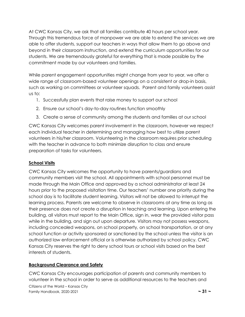At CWC Kansas City, we ask that all families contribute 40 hours per school year. Through this tremendous force of manpower we are able to extend the services we are able to offer students, support our teachers in ways that allow them to go above and beyond in their classroom instruction, and extend the curriculum opportunities for our students. We are tremendously grateful for everything that is made possible by the commitment made by our volunteers and families.

While parent engagement opportunities might change from year to year, we offer a wide range of classroom-based volunteer openings on a consistent or drop-in basis, such as working on committees or volunteer squads. Parent and family volunteers assist us to:

- 1. Successfully plan events that raise money to support our school
- 2. Ensure our school's day-to-day routines function smoothly
- 3. Create a sense of community among the students and families at our school

CWC Kansas City welcomes parent involvement in the classroom, however we respect each individual teacher in determining and managing how best to utilize parent volunteers in his/her classroom. Volunteering in the classroom requires prior scheduling with the teacher in advance to both minimize disruption to class and ensure preparation of tasks for volunteers.

#### <span id="page-31-0"></span>**School Visits**

CWC Kansas City welcomes the opportunity to have parents/guardians and community members visit the school. All appointments with school personnel must be made through the Main Office and approved by a school administrator at least 24 hours prior to the proposed visitation time. Our teachers' number one priority during the school day is to facilitate student learning. Visitors will not be allowed to interrupt the learning process. Parents are welcome to observe in classrooms at any time as long as their presence does not create a disruption in teaching and learning. Upon entering the building, all visitors must report to the Main Office, sign in, wear the provided visitor pass while in the building, and sign out upon departure. Visitors may not possess weapons, including concealed weapons, on school property, on school transportation, or at any school function or activity sponsored or sanctioned by the school unless the visitor is an authorized law enforcement official or is otherwise authorized by school policy. CWC Kansas City reserves the right to deny school tours or school visits based on the best interests of students.

#### <span id="page-31-1"></span>**Background Clearance and Safety**

CWC Kansas City encourages participation of parents and community members to volunteer in the school in order to serve as additional resources to the teachers and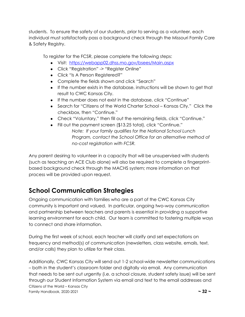students. To ensure the safety of our students, prior to serving as a volunteer, each individual must satisfactorily pass a background check through the Missouri Family Care & Safety Registry.

To register for the FCSR, please complete the following steps:

- Visit: <https://webapp02.dhss.mo.gov/bsees/Main.aspx>
- Click "Registration" -> "Register Online"
- Click "Is A Person Registered?"
- Complete the fields shown and click "Search"
- If the number exists in the database, instructions will be shown to get that result to CWC Kansas City.
- If the number does not exist in the database, click "Continue"
- Search for "Citizens of the World Charter School Kansas City." Click the checkbox, then "Continue."
- Check "Voluntary," then fill out the remaining fields, click "Continue."
- Fill out the payment screen (\$13.25 total), click "Continue." *Note: If your family qualifies for the National School Lunch Program, contact the School Office for an alternative method of no-cost registration with FCSR.*

Any parent desiring to volunteer in a capacity that will be unsupervised with students (such as teaching an ACE Club alone) will also be required to complete a fingerprintbased background check through the MACHS system; more information on that process will be provided upon request.

### <span id="page-32-0"></span>**School Communication Strategies**

Ongoing communication with families who are a part of the CWC Kansas City community is important and valued. In particular, ongoing two-way communication and partnership between teachers and parents is essential in providing a supportive learning environment for each child. Our team is committed to fostering multiple ways to connect and share information.

During the first week of school, each teacher will clarify and set expectations on frequency and method(s) of communication (newsletters, class website, emails, text, and/or calls) they plan to utilize for their class.

Citizens of the World – Kansas City Family Handbook, 2020-2021 **~ 32 ~** Additionally, CWC Kansas City will send out 1-2 school-wide newsletter communications – both in the student's classroom folder and digitally via email. Any communication that needs to be sent out urgently (i.e. a school closure, student safety issue) will be sent through our Student Information System via email and text to the email addresses and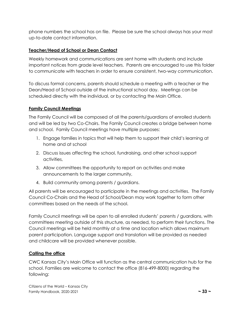phone numbers the school has on file. Please be sure the school always has your most up-to-date contact information.

#### <span id="page-33-0"></span>**Teacher/Head of School or Dean Contact**

Weekly homework and communications are sent home with students and include important notices from grade level teachers. Parents are encouraged to use this folder to communicate with teachers in order to ensure consistent, two-way communication.

To discuss formal concerns, parents should schedule a meeting with a teacher or the Dean/Head of School outside of the instructional school day. Meetings can be scheduled directly with the individual, or by contacting the Main Office.

#### <span id="page-33-1"></span>**Family Council Meetings**

The Family Council will be composed of all the parents/guardians of enrolled students and will be led by two Co-Chairs. The Family Council creates a bridge between home and school. Family Council meetings have multiple purposes:

- 1. Engage families in topics that will help them to support their child's learning at home and at school
- 2. Discuss issues affecting the school, fundraising, and other school support activities,
- 3. Allow committees the opportunity to report on activities and make announcements to the larger community,
- 4. Build community among parents / guardians.

All parents will be encouraged to participate in the meetings and activities. The Family Council Co-Chairs and the Head of School/Dean may work together to form other committees based on the needs of the school.

Family Council meetings will be open to all enrolled students' parents / guardians, with committees meeting outside of this structure, as needed, to perform their functions. The Council meetings will be held monthly at a time and location which allows maximum parent participation. Language support and translation will be provided as needed and childcare will be provided whenever possible.

#### <span id="page-33-2"></span>**Calling the office**

CWC Kansas City's Main Office will function as the central communication hub for the school. Families are welcome to contact the office (816-499-8000) regarding the following: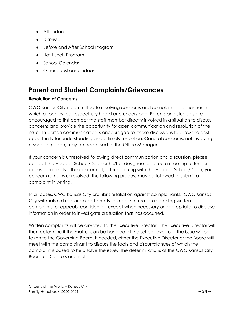- Attendance
- Dismissal
- Before and After School Program
- Hot Lunch Program
- School Calendar
- Other questions or ideas

### <span id="page-34-0"></span>**Parent and Student Complaints/Grievances**

#### <span id="page-34-1"></span>**Resolution of Concerns**

CWC Kansas City is committed to resolving concerns and complaints in a manner in which all parties feel respectfully heard and understood. Parents and students are encouraged to first contact the staff member directly involved in a situation to discuss concerns and provide the opportunity for open communication and resolution of the issue. In-person communication is encouraged for these discussions to allow the best opportunity for understanding and a timely resolution. General concerns, not involving a specific person, may be addressed to the Office Manager.

If your concern is unresolved following direct communication and discussion, please contact the Head of School/Dean or his/her designee to set up a meeting to further discuss and resolve the concern. If, after speaking with the Head of School/Dean, your concern remains unresolved, the following process may be followed to submit a complaint in writing.

In all cases, CWC Kansas City prohibits retaliation against complainants. CWC Kansas City will make all reasonable attempts to keep information regarding written complaints, or appeals, confidential, except when necessary or appropriate to disclose information in order to investigate a situation that has occurred.

Written complaints will be directed to the Executive Director. The Executive Director will then determine if the matter can be handled at the school level, or if the issue will be taken to the Governing Board. If needed, either the Executive Director or the Board will meet with the complainant to discuss the facts and circumstances of which the complaint is based to help solve the issue. The determinations of the CWC Kansas City Board of Directors are final.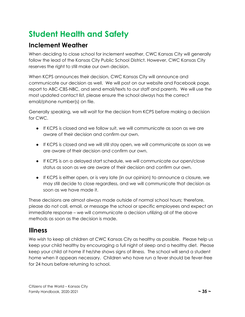# <span id="page-35-0"></span>**Student Health and Safety**

### <span id="page-35-1"></span>**Inclement Weather**

When deciding to close school for inclement weather, CWC Kansas City will generally follow the lead of the Kansas City Public School District. However, CWC Kansas City reserves the right to still make our own decision.

When KCPS announces their decision, CWC Kansas City will announce and communicate our decision as well. We will post on our website and Facebook page, report to ABC-CBS-NBC, and send email/texts to our staff and parents. We will use the most updated contact list, please ensure the school always has the correct email/phone number(s) on file.

Generally speaking, we will wait for the decision from KCPS before making a decision for CWC.

- If KCPS is closed and we follow suit, we will communicate as soon as we are aware of their decision and confirm our own.
- If KCPS is closed and we will still stay open, we will communicate as soon as we are aware of their decision and confirm our own.
- If KCPS is on a delayed start schedule, we will communicate our open/close status as soon as we are aware of their decision and confirm our own.
- If KCPS is either open, or is very late (in our opinion) to announce a closure, we may still decide to close regardless, and we will communicate that decision as soon as we have made it.

These decisions are almost always made outside of normal school hours; therefore, please do not call, email, or message the school or specific employees and expect an immediate response – we will communicate a decision utilizing all of the above methods as soon as the decision is made.

### <span id="page-35-2"></span>**Illness**

We wish to keep all children at CWC Kansas City as healthy as possible. Please help us keep your child healthy by encouraging a full night of sleep and a healthy diet. Please keep your child at home if he/she shows signs of illness. The school will send a student home when it appears necessary. Children who have run a fever should be fever-free for 24 hours before returning to school.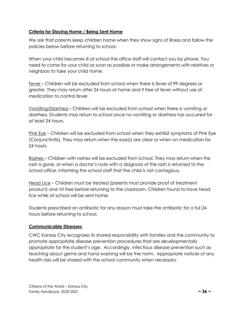#### <span id="page-36-0"></span>**Criteria for Staying Home / Being Sent Home**

We ask that parents keep children home when they show signs of illness and follow the policies below before returning to school.

When your child becomes ill at school the office staff will contact you by phone. You need to come for your child as soon as possible or make arrangements with relatives or neighbors to take your child home.

Fever – Children will be excluded from school when there is fever of 99 degrees or greater. They may return after 24 hours at home and if free of fever without use of medication to control fever.

Vomiting/Diarrhea – Children will be excluded from school when there is vomiting or diarrhea. Students may return to school once no vomiting or diarrhea has occurred for at least 24 hours.

Pink Eye – Children will be excluded from school when they exhibit symptoms of Pink Eye (Conjunctivitis). They may return when the eye(s) are clear or when on medication for 24 hours.

Rashes – Children with rashes will be excluded from school. They may return when the rash is gone, or when a doctor's note with a diagnosis of the rash is returned to the school office, informing the school staff that the child is not contagious.

Head Lice – Children must be treated (parents must provide proof of treatment product) and nit free before returning to the classroom. Children found to have head lice while at school will be sent home.

Students prescribed an antibiotic for any reason must take the antibiotic for a full 24 hours before returning to school.

#### <span id="page-36-1"></span>**Communicable Diseases**

CWC Kansas City recognizes its shared responsibility with families and the community to promote appropriate disease prevention procedures that are developmentally appropriate for the student's age. Accordingly, infectious disease prevention such as teaching about germs and hand washing will be the norm. Appropriate notices of any health risks will be shared with the school community when necessary.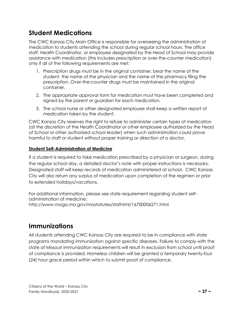### <span id="page-37-0"></span>**Student Medications**

The CWC Kansas City Main Office is responsible for overseeing the administration of medication to students attending the school during regular school hours. The office staff, Health Coordinator, or employee designated by the Head of School may provide assistance with medication (this includes prescription or over-the-counter medication) only if all of the following requirements are met:

- 1. Prescription drugs must be in the original container, bear the name of the student, the name of the physician and the name of the pharmacy filing the prescription. Over-the-counter drugs must be maintained in the original container.
- 2. The appropriate approval form for medication must have been completed and signed by the parent or guardian for each medication.
- 3. The school nurse or other designated employee shall keep a written report of medication taken by the student.

CWC Kansas City reserves the right to refuse to administer certain types of medication (at the discretion of the Health Coordinator or other employee authorized by the Head of School or other authorized school leader) when such administration could prove harmful to staff or student without proper training or direction of a doctor.

#### <span id="page-37-1"></span>**Student Self-Administration of Medicine**

If a student is required to take medication prescribed by a physician or surgeon, during the regular school day, a detailed doctor's note with proper instructions is necessary. Designated staff will keep records of medication administered at school. CWC Kansas City will also return any surplus of medication upon completion of the regimen or prior to extended holidays/vacations.

For additional information, please see state requirement regarding student selfadministration of medicine: http://www.moga.mo.gov/mostatutes/stathtml/16700006271.html

### <span id="page-37-2"></span>**Immunizations**

All students attending CWC Kansas City are required to be in compliance with state programs mandating immunization against specific diseases. Failure to comply with the state of Missouri immunization requirements will result in exclusion from school until proof of compliance is provided. Homeless children will be granted a temporary twenty-four (24) hour grace period within which to submit proof of compliance.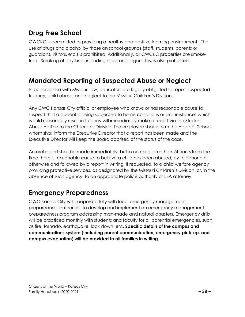### <span id="page-38-0"></span>**Drug Free School**

CWCKC is committed to providing a healthy and positive learning environment. The use of drugs and alcohol by those on school grounds (staff, students, parents or guardians, visitors, etc.) is prohibited. Additionally, all CWCKC properties are smokefree. Smoking of any kind, including electronic cigarettes, is also prohibited.

### <span id="page-38-1"></span>**Mandated Reporting of Suspected Abuse or Neglect**

In accordance with Missouri law, educators are legally obligated to report suspected truancy, child abuse, and neglect to the Missouri Children's Division.

Any CWC Kansas City official or employee who knows or has reasonable cause to suspect that a student is being subjected to home conditions or circumstances which would reasonably result in truancy will immediately make a report via the Student Abuse Hotline to the Children's Division. The employee shall inform the Head of School, whom shall inform the Executive Director that a report has been made and the Executive Director will keep the Board apprised of the status of the case.

An oral report shall be made immediately, but in no case later than 24 hours from the time there is reasonable cause to believe a child has been abused, by telephone or otherwise and followed by a report in writing, if requested, to a child welfare agency providing protective services, as designated by the Missouri Children's Division, or, in the absence of such agency, to an appropriate police authority or LEA attorney.

### <span id="page-38-2"></span>**Emergency Preparedness**

CWC Kansas City will cooperate fully with local emergency management preparedness authorities to develop and implement an emergency management preparedness program addressing man-made and natural disasters. Emergency drills will be practiced monthly with students and faculty for all potential emergencies, such as fire, tornado, earthquake, lock down, etc. **Specific details of the campus and communications system (including parent communication, emergency pick-up, and campus evacuation) will be provided to all families in writing.**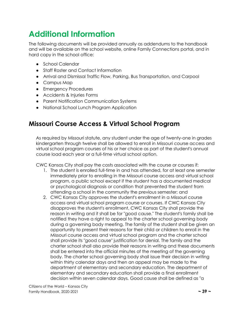# <span id="page-39-0"></span>**Additional Information**

The following documents will be provided annually as addendums to the handbook and will be available on the school website, online Family Connections portal, and in hard copy in the school office:

- School Calendar
- Staff Roster and Contact Information
- Arrival and Dismissal Traffic Flow, Parking, Bus Transportation, and Carpool
- Campus Map
- Emergency Procedures
- Accidents & Injuries Forms
- Parent Notification Communication Systems
- National School Lunch Program Application

### <span id="page-39-1"></span>**Missouri Course Access & Virtual School Program**

As required by Missouri statute, any student under the age of twenty-one in grades kindergarten through twelve shall be allowed to enroll in Missouri course access and virtual school program courses of his or her choice as part of the student's annual course load each year or a full-time virtual school option.

CWC Kansas City shall pay the costs associated with the course or courses if:

- 1. The student is enrolled full-time in and has attended, for at least one semester immediately prior to enrolling in the Missouri course access and virtual school program, a public school except if the student has a documented medical or psychological diagnosis or condition that prevented the student from attending a school in the community the previous semester; and
- 2. CWC Kansas City approves the student's enrollment in a Missouri course access and virtual school program course or courses. If CWC Kansas City disapproves the student's enrollment, CWC Kansas City shall provide the reason in writing and it shall be for "good cause." The student's family shall be notified they have a right to appeal to the charter school governing body during a governing body meeting. The family of the student shall be given an opportunity to present their reasons for their child or children to enroll in the Missouri course access and virtual school program and the charter school shall provide its "good cause" justification for denial. The family and the charter school shall also provide their reasons in writing and these documents shall be entered into the official minutes of the meeting of the governing body. The charter school governing body shall issue their decision in writing within thirty calendar days and then an appeal may be made to the department of elementary and secondary education. The department of elementary and secondary education shall provide a final enrollment decision within seven calendar days. Good cause shall be defined as "a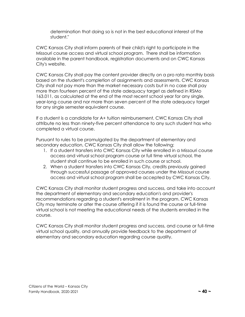determination that doing so is not in the best educational interest of the student."

CWC Kansas City shall inform parents of their child's right to participate in the Missouri course access and virtual school program. There shall be information available in the parent handbook, registration documents and on CWC Kansas City's website.

CWC Kansas City shall pay the content provider directly on a pro rata monthly basis based on the student's completion of assignments and assessments. CWC Kansas City shall not pay more than the market necessary costs but in no case shall pay more than fourteen percent of the state adequacy target as defined in RSMo 163.011, as calculated at the end of the most recent school year for any single, year-long course and nor more than seven percent of the state adequacy target for any single semester equivalent course.

If a student is a candidate for A+ tuition reimbursement, CWC Kansas City shall attribute no less than ninety-five percent attendance to any such student has who completed a virtual course.

Pursuant to rules to be promulgated by the department of elementary and secondary education, CWC Kansas City shall allow the following:

- 1. If a student transfers into CWC Kansas City while enrolled in a Missouri course access and virtual school program course or full time virtual school, the student shall continue to be enrolled in such course or school.
- 2. When a student transfers into CWC Kansas City, credits previously gained through successful passage of approved courses under the Missouri course access and virtual school program shall be accepted by CWC Kansas City.

CWC Kansas City shall monitor student progress and success, and take into account the department of elementary and secondary education's and provider's recommendations regarding a student's enrollment in the program. CWC Kansas City may terminate or alter the course offering if it is found the course or full-time virtual school is not meeting the educational needs of the students enrolled in the course.

CWC Kansas City shall monitor student progress and success, and course or full-time virtual school quality, and annually provide feedback to the department of elementary and secondary education regarding course quality.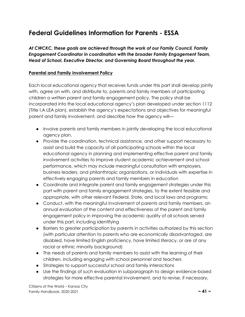### <span id="page-41-0"></span>**Federal Guidelines Information for Parents - ESSA**

*At CWCKC, these goals are achieved through the work of our Family Council, Family Engagement Coordinator in coordination with the broader Family Engagement Team, Head of School, Executive Director, and Governing Board throughout the year.*

#### **Parental and Family Involvement Policy**

Each local educational agency that receives funds under this part shall develop jointly with, agree on with, and distribute to, parents and family members of participating children a written parent and family engagement policy. The policy shall be incorporated into the local educational agency's plan developed under section 1112 (Title I.A LEA plan), establish the agency's expectations and objectives for meaningful parent and family involvement, and describe how the agency will—

- Involve parents and family members in jointly developing the local educational agency plan.
- Provide the coordination, technical assistance, and other support necessary to assist and build the capacity of all participating schools within the local educational agency in planning and implementing effective parent and family involvement activities to improve student academic achievement and school performance, which may include meaningful consultation with employers, business leaders, and philanthropic organizations, or individuals with expertise in effectively engaging parents and family members in education
- Coordinate and integrate parent and family engagement strategies under this part with parent and family engagement strategies, to the extent feasible and appropriate, with other relevant Federal, State, and local laws and programs;
- Conduct, with the meaningful involvement of parents and family members, an annual evaluation of the content and effectiveness of the parent and family engagement policy in improving the academic quality of all schools served under this part, including identifying
- Barriers to greater participation by parents in activities authorized by this section (with particular attention to parents who are economically disadvantaged, are disabled, have limited English proficiency, have limited literacy, or are of any racial or ethnic minority background)
- The needs of parents and family members to assist with the learning of their children, including engaging with school personnel and teachers
- Strategies to support successful school and family interactions
- Use the findings of such evaluation in subparagraph to design evidence-based strategies for more effective parental involvement, and to revise, if necessary,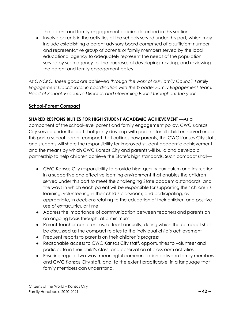the parent and family engagement policies described in this section

● Involve parents in the activities of the schools served under this part, which may include establishing a parent advisory board comprised of a sufficient number and representative group of parents or family members served by the local educational agency to adequately represent the needs of the population served by such agency for the purposes of developing, revising, and reviewing the parent and family engagement policy.

*At CWCKC, these goals are achieved through the work of our Family Council, Family Engagement Coordinator in coordination with the broader Family Engagement Team, Head of School, Executive Director, and Governing Board throughout the year.*

#### **School-Parent Compact**

#### **SHARED RESPONSIBILITIES FOR HIGH STUDENT ACADEMIC ACHIEVEMENT** —As a

component of the school-level parent and family engagement policy, CWC Kansas City served under this part shall jointly develop with parents for all children served under this part a school-parent compact that outlines how parents, the CWC Kansas City staff, and students will share the responsibility for improved student academic achievement and the means by which CWC Kansas City and parents will build and develop a partnership to help children achieve the State's high standards. Such compact shall—

- CWC Kansas City responsibility to provide high-quality curriculum and instruction in a supportive and effective learning environment that enables the children served under this part to meet the challenging State academic standards, and the ways in which each parent will be responsible for supporting their children's learning; volunteering in their child's classroom; and participating, as appropriate, in decisions relating to the education of their children and positive use of extracurricular time
- Address the importance of communication between teachers and parents on an ongoing basis through, at a minimum
- Parent-teacher conferences, at least annually, during which the compact shall be discussed as the compact relates to the individual child's achievement
- Frequent reports to parents on their children's progress
- Reasonable access to CWC Kansas City staff, opportunities to volunteer and participate in their child's class, and observation of classroom activities
- Ensuring regular two-way, meaningful communication between family members and CWC Kansas CIty staff, and, to the extent practicable, in a language that family members can understand.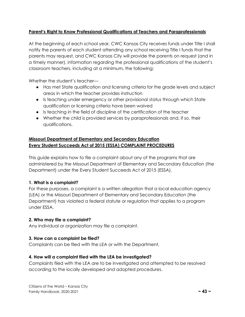#### **Parent's Right to Know Professional Qualifications of Teachers and Paraprofessionals**

At the beginning of each school year, CWC Kansas City receives funds under Title I shall notify the parents of each student attending any school receiving Title I funds that the parents may request, and CWC Kansas City will provide the parents on request (and in a timely manner), information regarding the professional qualifications of the student's classroom teachers, including at a minimum, the following:

Whether the student's teacher—

- Has met State qualification and licensing criteria for the grade levels and subject areas in which the teacher provides instruction
- Is teaching under emergency or other provisional status through which State qualification or licensing criteria have been waived
- Is teaching in the field of discipline of the certification of the teacher
- Whether the child is provided services by paraprofessionals and, if so, their qualifications.

#### **Missouri Department of Elementary and Secondary Education Every Student Succeeds Act of 2015 (ESSA) COMPLAINT PROCEDURES**

This guide explains how to file a complaint about any of the programs that are administered by the Missouri Department of Elementary and Secondary Education (the Department) under the Every Student Succeeds Act of 2015 (ESSA).

#### **1. What is a complaint?**

For these purposes, a complaint is a written allegation that a local education agency (LEA) or the Missouri Department of Elementary and Secondary Education (the Department) has violated a federal statute or regulation that applies to a program under ESSA.

#### **2. Who may file a complaint?**

Any individual or organization may file a complaint.

#### **3. How can a complaint be filed?**

Complaints can be filed with the LEA or with the Department.

#### **4. How will a complaint filed with the LEA be investigated?**

Complaints filed with the LEA are to be investigated and attempted to be resolved according to the locally developed and adopted procedures.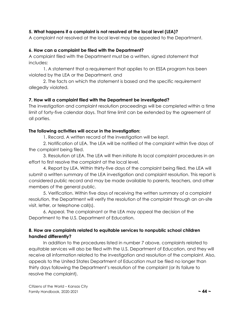#### **5. What happens if a complaint is not resolved at the local level (LEA)?**

A complaint not resolved at the local level may be appealed to the Department.

#### **6. How can a complaint be filed with the Department?**

A complaint filed with the Department must be a written, signed statement that includes**:**

1. A statement that a requirement that applies to an ESSA program has been violated by the LEA or the Department, and

2. The facts on which the statement is based and the specific requirement allegedly violated.

#### **7. How will a complaint filed with the Department be investigated?**

The investigation and complaint resolution proceedings will be completed within a time limit of forty-five calendar days. That time limit can be extended by the agreement of all parties.

#### **The following activities will occur in the investigation:**

1. Record. A written record of the investigation will be kept.

2. Notification of LEA. The LEA will be notified of the complaint within five days of the complaint being filed.

3. Resolution at LEA. The LEA will then initiate its local complaint procedures in an effort to first resolve the complaint at the local level.

4. Report by LEA. Within thirty-five days of the complaint being filed, the LEA will submit a written summary of the LEA investigation and complaint resolution. This report is considered public record and may be made available to parents, teachers, and other members of the general public.

5. Verification. Within five days of receiving the written summary of a complaint resolution, the Department will verify the resolution of the complaint through an on-site visit, letter, or telephone call(s).

6. Appeal. The complainant or the LEA may appeal the decision of the Department to the U.S. Department of Education.

#### **8. How are complaints related to equitable services to nonpublic school children handled differently?**

In addition to the procedures listed in number 7 above, complaints related to equitable services will also be filed with the U.S. Department of Education, and they will receive all information related to the investigation and resolution of the complaint. Also, appeals to the United States Department of Education must be filed no longer than thirty days following the Department's resolution of the complaint (or its failure to resolve the complaint).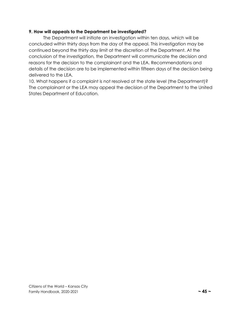#### **9. How will appeals to the Department be investigated?**

The Department will initiate an investigation within ten days, which will be concluded within thirty days from the day of the appeal. This investigation may be continued beyond the thirty day limit at the discretion of the Department. At the conclusion of the investigation, the Department will communicate the decision and reasons for the decision to the complainant and the LEA. Recommendations and details of the decision are to be implemented within fifteen days of the decision being delivered to the LEA.

10. What happens if a complaint is not resolved at the state level (the Department)? The complainant or the LEA may appeal the decision of the Department to the United States Department of Education.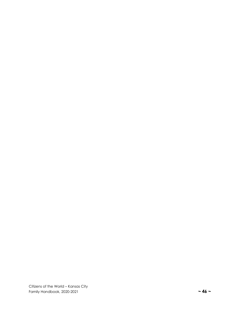Citizens of the World – Kansas Cit y Family Handbook, 2020 -202 1 **~ 46**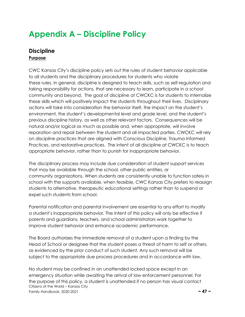# <span id="page-47-0"></span>**Appendix A – Discipline Policy**

#### **Discipline Purpose**

CWC Kansas City's discipline policy sets out the rules of student behavior applicable to all students and the disciplinary procedures for students who violate these rules. In general, discipline is designed to teach skills, such as self-regulation and taking responsibility for actions, that are necessary to learn, participate in a school community and beyond. The goal of discipline at CWCKC is for students to internalize these skills which will positively impact the students throughout their lives. Disciplinary actions will take into consideration the behavior itself, the impact on the student's environment, the student's developmental level and grade level, and the student's previous discipline history, as well as other relevant factors. Consequences will be natural and/or logical as much as possible and, when appropriate, will involve reparation and repair between the student and all impacted parties. CWCKC will rely on discipline practices that are aligned with Conscious Discipline, Trauma Informed Practices, and restorative practices. The intent of all discipline at CWCKC is to teach appropriate behavior, rather than to punish for inappropriate behavior.

The disciplinary process may include due consideration of student support services that may be available through the school, other public entities, or community organizations. When students are consistently unable to function safely in school with the supports available, when feasible, CWC Kansas City prefers to reassign students to alternative, therapeutic educational settings rather than to suspend or expel such students from school.

Parental notification and parental involvement are essential to any effort to modify a student's inappropriate behavior. The intent of this policy will only be effective if parents and guardians, teachers, and school administrators work together to improve student behavior and enhance academic performance.

The Board authorizes the immediate removal of a student upon a finding by the Head of School or designee that the student poses a threat of harm to self or others, as evidenced by the prior conduct of such student. Any such removal will be subject to the appropriate due process procedures and in accordance with law.

Citizens of the World – Kansas City Family Handbook, 2020-2021 **~ 47 ~** No student may be confined in an unattended locked space except in an emergency situation while awaiting the arrival of law enforcement personnel. For the purpose of this policy, a student is unattended if no person has visual contact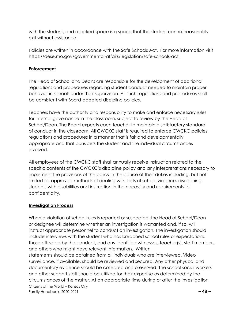with the student, and a locked space is a space that the student cannot reasonably exit without assistance.

Policies are written in accordance with the Safe Schools Act. For more information visit [https://dese.mo.gov/governmental-affairs/legislation/safe-schools-act.](https://dese.mo.gov/governmental-affairs/legislation/safe-schools-act)

#### **Enforcement**

The Head of School and Deans are responsible for the development of additional regulations and procedures regarding student conduct needed to maintain proper behavior in schools under their supervision. All such regulations and procedures shall be consistent with Board-adopted discipline policies.

Teachers have the authority and responsibility to make and enforce necessary rules for internal governance in the classroom, subject to review by the Head of School/Dean. The Board expects each teacher to maintain a satisfactory standard of conduct in the classroom. All CWCKC staff is required to enforce CWCKC policies, regulations and procedures in a manner that is fair and developmentally appropriate and that considers the student and the individual circumstances involved.

All employees of the CWCKC staff shall annually receive instruction related to the specific contents of the CWCKC's discipline policy and any interpretations necessary to implement the provisions of the policy in the course of their duties including, but not limited to, approved methods of dealing with acts of school violence, disciplining students with disabilities and instruction in the necessity and requirements for confidentiality.

#### **Investigation Process**

Citizens of the World – Kansas City Family Handbook, 2020-2021 **~ 48 ~** When a violation of school rules is reported or suspected, the Head of School/Dean or designee will determine whether an investigation is warranted and, if so, will instruct appropriate personnel to conduct an investigation. The investigation should include interviews with the student who has breached school rules or expectations, those affected by the conduct, and any identified witnesses, teacher(s), staff members, and others who might have relevant information. Written statements should be obtained from all individuals who are interviewed. Video surveillance, if available, should be reviewed and secured. Any other physical and documentary evidence should be collected and preserved. The school social workers and other support staff should be utilized for their expertise as determined by the circumstances of the matter. At an appropriate time during or after the investigation,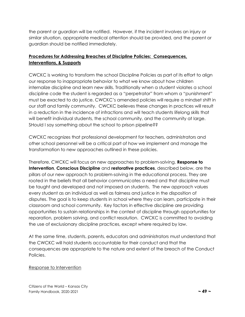the parent or guardian will be notified. However, if the incident involves an injury or similar situation, appropriate medical attention should be provided, and the parent or guardian should be notified immediately.

#### **Procedures for Addressing Breaches of Discipline Policies: Consequences, Interventions, & Supports**

CWCKC is working to transform the school Discipline Policies as part of its effort to align our response to inappropriate behavior to what we know about how children internalize discipline and learn new skills. Traditionally when a student violates a school discipline code the student is regarded as a "perpetrator" from whom a "punishment" must be exacted to do justice. CWCKC's amended policies will require a mindset shift in our staff and family community. CWCKC believes these changes in practices will result in a reduction in the incidence of infractions and will teach students lifelong skills that will benefit individual students, the school community, and the community at large. SHould I say something about the school to prison pipeline??

CWCKC recognizes that professional development for teachers, administrators and other school personnel will be a critical part of how we implement and manage the transformation to new approaches outlined in these policies.

Therefore, CWCKC will focus on new approaches to problem‐solving. **Response to Intervention**, **Conscious Discipline** and **restorative practices**, described below, are the pillars of our new approach to problem‐solving in the educational process. They are rooted in the beliefs that all behavior communicates a need and that discipline must be taught and developed and not imposed on students. The new approach values every student as an individual as well as fairness and justice in the disposition of disputes. The goal is to keep students in school where they can learn, participate in their classroom and school community. Key factors in effective discipline are providing opportunities to sustain relationships in the context of discipline through opportunities for reparation, problem solving, and conflict resolution. CWCKC is committed to avoiding the use of exclusionary discipline practices, except where required by law.

At the same time, students, parents, educators and administrators must understand that the CWCKC will hold students accountable for their conduct and that the consequences are appropriate to the nature and extent of the breach of the Conduct Policies.

#### Response to Intervention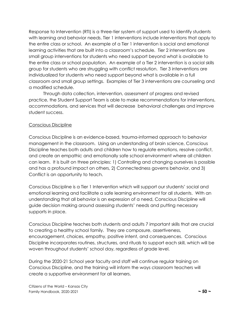Response to Intervention (RTI) is a three-tier system of support used to identify students with learning and behavior needs. Tier 1 interventions include interventions that apply to the entire class or school. An example of a Tier 1 intervention is social and emotional learning activities that are built into a classroom's schedule. Tier 2 interventions are small group interventions for students who need support beyond what is available to the entire class or school population. An example of a Tier 2 intervention is a social skills group for students who are struggling with conflict resolution. Tier 3 interventions are individualized for students who need support beyond what is available in a full classroom and small group settings. Examples of Tier 3 interventions are counseling and a modified schedule.

Through data collection, intervention, assessment of progress and revised practice, the Student Support Team is able to make recommendations for interventions, accommodations, and services that will decrease behavioral challenges and improve student success.

#### Conscious Discipline

Conscious Discipline is an evidence-based, trauma-informed approach to behavior management in the classroom. Using an understanding of brain science, Conscious Discipline teaches both adults and children how to regulate emotions, resolve conflict, and create an empathic and emotionally safe school environment where all children can learn. It is built on three principles: 1) Controlling and changing ourselves is possible and has a profound impact on others, 2) Connectedness governs behavior, and 3) Conflict is an opportunity to teach.

Conscious Discipline is a Tier 1 Intervention which will support our students' social and emotional learning and facilitate a safe learning environment for all students. With an understanding that all behavior is an expression of a need, Conscious Discipline will guide decision making around assessing students' needs and putting necessary supports in place.

Conscious Discipline teaches both students and adults 7 important skills that are crucial to creating a healthy school family. They are composure, assertiveness, encouragement, choices, empathy, positive intent, and consequences. Conscious Discipline incorporates routines, structures, and rituals to support each skill, which will be woven throughout students' school day, regardless of grade level.

During the 2020-21 School year faculty and staff will continue regular training on Conscious Discipline, and the training will inform the ways classroom teachers will create a supportive environment for all learners.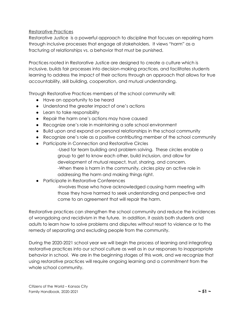#### Restorative Practices

Restorative Justice is a powerful approach to discipline that focuses on repairing harm through inclusive processes that engage all stakeholders. It views "harm" as a fracturing of relationships vs. a behavior that must be punished.

Practices rooted in Restorative Justice are designed to create a culture which is inclusive, builds fair processes into decision-making practices, and facilitates students learning to address the impact of their actions through an approach that allows for true accountability, skill building, cooperation, and mutual understanding.

Through Restorative Practices members of the school community will:

- Have an opportunity to be heard
- Understand the greater impact of one's actions
- Learn to take responsibility
- Repair the harm one's actions may have caused
- Recognize one's role in maintaining a safe school environment
- Build upon and expand on personal relationships in the school community
- Recognize one's role as a positive contributing member of the school community
- Participate in Connection and Restorative Circles
	- -Used for team building and problem solving. These circles enable a group to get to know each other, build inclusion, and allow for development of mutual respect, trust, sharing, and concern. -When there is harm in the community, circles play an active role in addressing the harm and making things right.
- Participate in Restorative Conferences

-Involves those who have acknowledged causing harm meeting with those they have harmed to seek understanding and perspective and come to an agreement that will repair the harm.

Restorative practices can strengthen the school community and reduce the incidences of wrongdoing and recidivism in the future. In addition, it assists both students and adults to learn how to solve problems and disputes without resort to violence or to the remedy of separating and excluding people from the community.

During the 2020-2021 school year we will begin the process of learning and integrating restorative practices into our school culture as well as in our responses to inappropriate behavior in school. We are in the beginning stages of this work, and we recognize that using restorative practices will require ongoing learning and a commitment from the whole school community.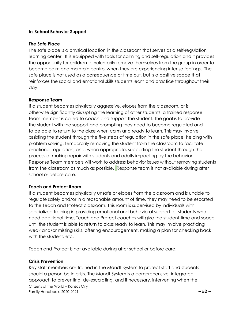#### **In-School Behavior Support**

#### **The Safe Place**

The safe place is a physical location in the classroom that serves as a self-regulation learning center. It is equipped with tools for calming and self-regulation and it provides the opportunity for children to voluntarily remove themselves from the group in order to become calm and maintain control when they are experiencing intense feelings. The safe place is not used as a consequence or time out, but is a positive space that reinforces the social and emotional skills students learn and practice throughout their day.

#### **Response Team**

If a student becomes physically aggressive, elopes from the classroom, or is otherwise significantly disrupting the learning of other students, a trained response team member is called to coach and support the student. The goal is to provide the student with the support and prompting they need to become regulated and to be able to return to the class when calm and ready to learn. This may involve assisting the student through the five steps of regulation in the safe place, helping with problem solving, temporarily removing the student from the classroom to facilitate emotional regulation, and, when appropriate, supporting the student through the process of making repair with students and adults impacting by the behavior. Response Team members will work to address behavior issues without removing students from the classroom as much as possible. Response team is not available during after school or before care.

#### **Teach and Protect Room**

If a student becomes physically unsafe or elopes from the classroom and is unable to regulate safely and/or in a reasonable amount of time, they may need to be escorted to the Teach and Protect classroom. This room is supervised by individuals with specialized training in providing emotional and behavioral support for students who need additional time. Teach and Protect coaches will give the student time and space until the student is able to return to class ready to learn. This may involve practicing weak and/or missing skills, offering encouragement, making a plan for checking back with the student, etc.

Teach and Protect is not available during after school or before care.

#### **Crisis Prevention**

Citizens of the World – Kansas City Family Handbook, 2020-2021 **~ 52 ~** Key staff members are trained in the Mandt System to protect staff and students should a person be in crisis. The Mandt System is a comprehensive, integrated approach to preventing, de-escalating, and if necessary, intervening when the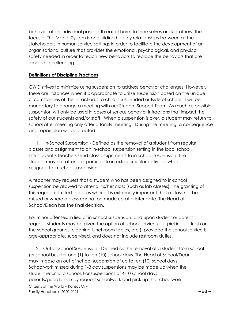behavior of an individual poses a threat of harm to themselves and/or others. The focus of The Mandt System is on building healthy relationships between all the stakeholders in human service settings in order to facilitate the development of an organizational culture that provides the emotional, psychological, and physical safety needed in order to teach new behaviors to replace the behaviors that are labeled "challenging."

#### **Definitions of Discipline Practices**

CWC strives to minimize using suspension to address behavior challenges. However, there are instances when it is appropriate to utilize suspension based on the unique circumstances of the infraction. If a child is suspended outside of school, it will be mandatory to arrange a meeting with our Student Support Team. As much as possible, suspension will only be used in cases of serious behavior infractions that impact the safety of our students and/or staff. When a suspension is over, a student may return to school after meeting only after a family meeting. During the meeting, a consequence and repair plan will be created.

1. In-School Suspension - Defined as the removal of a student from regular classes and assignment to an in-school suspension setting in the local school. The student's teachers send class assignments to in-school suspension. The student may not attend or participate in extracurricular activities while assigned to in-school suspension.

A teacher may request that a student who has been assigned to in-school suspension be allowed to attend his/her class (such as lab classes). The granting of this request is limited to cases where it is extremely important that a class not be missed or where a class cannot be made up at a later date. The Head of School/Dean has the final decision.

For minor offenses, in lieu of in-school suspension, and upon student or parent request, students may be given the option of school service (i.e., picking up trash on the school grounds, cleaning lunchroom tables, etc.), provided the school service is age-appropriate, supervised, and does not include restroom duties.

Citizens of the World – Kansas City Family Handbook, 2020-2021 **~ 53 ~** 2. Out-of-School Suspension - Defined as the removal of a student from school (or school bus) for one (1) to ten (10) school days. The Head of School/Dean may impose an out-of-school suspension of up to ten (10) school days. Schoolwork missed during 1-3 day suspensions may be made up when the student returns to school. For suspensions of 4-10 school days, parents/guardians may request schoolwork and pick up the schoolwork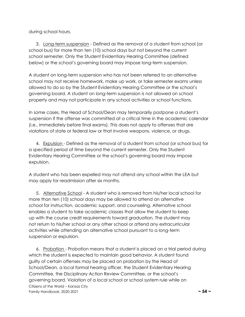during school hours.

3. Long-term suspension - Defined as the removal of a student from school (or school bus) for more than ten (10) school days but not beyond the current school semester. Only the Student Evidentiary Hearing Committee (defined below) or the school's governing board may impose long-term suspension.

A student on long-term suspension who has not been referred to an alternative school may not receive homework, make up work, or take semester exams unless allowed to do so by the Student Evidentiary Hearing Committee or the school's governing board. A student on long-term suspension is not allowed on school property and may not participate in any school activities or school functions.

In some cases, the Head of School/Dean may temporarily postpone a student's suspension if the offense was committed at a critical time in the academic calendar (i.e., immediately before final exams). This does not apply to offenses that are violations of state or federal law or that involve weapons, violence, or drugs.

4. Expulsion - Defined as the removal of a student from school (or school bus) for a specified period of time beyond the current semester. Only the Student Evidentiary Hearing Committee or the school's governing board may impose expulsion.

A student who has been expelled may not attend any school within the LEA but may apply for readmission after six months.

5. Alternative School - A student who is removed from his/her local school for more than ten (10) school days may be allowed to attend an alternative school for instruction, academic support, and counseling. Alternative school enables a student to take academic classes that allow the student to keep up with the course credit requirements toward graduation. The student may not return to his/her school or any other school or attend any extracurricular activities while attending an alternative school pursuant to a long-term suspension or expulsion.

Citizens of the World – Kansas City Family Handbook, 2020-2021 **~ 54 ~** 6. Probation - Probation means that a student is placed on a trial period during which the student is expected to maintain good behavior. A student found guilty of certain offenses may be placed on probation by the Head of School/Dean, a local formal hearing officer, the Student Evidentiary Hearing Committee, the Disciplinary Action Review Committee, or the school's governing board. Violation of a local school or school system rule while on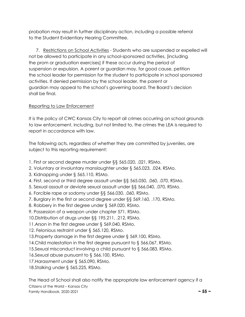probation may result in further disciplinary action, including a possible referral to the Student Evidentiary Hearing Committee.

7. Restrictions on School Activities - Students who are suspended or expelled will not be allowed to participate in any school-sponsored activities, [including the prom or graduation exercises] if these occur during the period of suspension or expulsion. A parent or guardian may, for good cause, petition the school leader for permission for the student to participate in school sponsored activities. If denied permission by the school leader, the parent or guardian may appeal to the school's governing board. The Board's decision shall be final.

#### Reporting to Law Enforcement

It is the policy of CWC Kansas City to report all crimes occurring on school grounds to law enforcement, including, but not limited to, the crimes the LEA is required to report in accordance with law.

The following acts, regardless of whether they are committed by juveniles, are subject to this reporting requirement:

- 1. First or second degree murder under §§ 565.020, .021, RSMo.
- 2. Voluntary or involuntary manslaughter under § 565.023, .024, RSMo.
- 3. Kidnapping under § 565.110, RSMo.
- 4. First, second or third degree assault under §§ 565.050, .060, .070, RSMo.
- 5. Sexual assault or deviate sexual assault under §§ 566.040, .070, RSMo.
- 6. Forcible rape or sodomy under §§ 566.030, .060, RSMo.
- 7. Burglary in the first or second degree under §§ 569.160, .170, RSMo.
- 8. Robbery in the first degree under § 569.020, RSMo.
- 9. Possession of a weapon under chapter 571, RSMo.
- 10.Distribution of drugs under §§ 195.211, .212, RSMo.
- 11.Arson in the first degree under § 569.040, RSMo.
- 12. Felonious restraint under § 565.120, RSMo.
- 13.Property damage in the first degree under § 569.100, RSMo.
- 14.Child molestation in the first degree pursuant to § 566.067, RSMo.
- 15.Sexual misconduct involving a child pursuant to § 566.083, RSMo.
- 16.Sexual abuse pursuant to § 566.100, RSMo.
- 17.Harassment under § 565.090, RSMo.
- 18.Stalking under § 565.225, RSMo.

The Head of School shall also notify the appropriate law enforcement agency if a

Citizens of the World – Kansas City Family Handbook, 2020-2021 **~ 55 ~**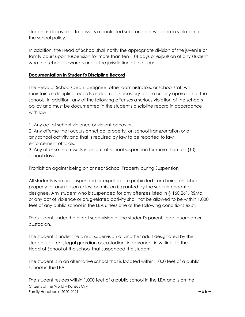student is discovered to possess a controlled substance or weapon in violation of the school policy.

In addition, the Head of School shall notify the appropriate division of the juvenile or family court upon suspension for more than ten (10) days or expulsion of any student who the school is aware is under the jurisdiction of the court.

#### **Documentation in Student's Discipline Record**

The Head of School/Dean, designee, other administrators, or school staff will maintain all discipline records as deemed necessary for the orderly operation of the schools. In addition, any of the following offenses a serious violation of the school's policy and must be documented in the student's discipline record in accordance with law:

1. Any act of school violence or violent behavior.

2. Any offense that occurs on school property, on school transportation or at any school activity and that is required by law to be reported to law enforcement officials.

3. Any offense that results in an out-of-school suspension for more than ten (10) school days.

Prohibition against being on or near School Property during Suspension

All students who are suspended or expelled are prohibited from being on school property for any reason unless permission is granted by the superintendent or designee. Any student who is suspended for any offenses listed in § 160.261, RSMo., or any act of violence or drug-related activity shall not be allowed to be within 1,000 feet of any public school in the LEA unless one of the following conditions exist:

The student under the direct supervision of the student's parent, legal guardian or custodian.

The student is under the direct supervision of another adult designated by the student's parent, legal guardian or custodian, in advance, in writing, to the Head of School of the school that suspended the student.

The student is in an alternative school that is located within 1,000 feet of a public school in the LEA.

Citizens of the World – Kansas City Family Handbook, 2020-2021 **~ 56 ~** The student resides within 1,000 feet of a public school in the LEA and is on the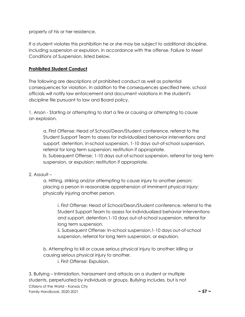property of his or her residence.

If a student violates this prohibition he or she may be subject to additional discipline, including suspension or expulsion, in accordance with the offense, Failure to Meet Conditions of Suspension, listed below.

#### **Prohibited Student Conduct**

The following are descriptions of prohibited conduct as well as potential consequences for violation. In addition to the consequences specified here, school officials will notify law enforcement and document violations in the student's discipline file pursuant to law and Board policy.

1. Arson - Starting or attempting to start a fire or causing or attempting to cause an explosion.

a. First Offense: Head of School/Dean/Student conference, referral to the Student Support Team to assess for individualized behavior interventions and support, detention, in-school suspension, 1-10 days out-of-school suspension, referral for long term suspension; restitution if appropriate.

b. Subsequent Offense: 1-10 days out-of-school suspension, referral for long term suspension, or expulsion; restitution if appropriate.

#### 2. Assault –

a. Hitting, striking and/or attempting to cause injury to another person; placing a person in reasonable apprehension of imminent physical injury; physically injuring another person.

i. First Offense: Head of School/Dean/Student conference, referral to the Student Support Team to assess for individualized behavior interventions and support, detention,1-10 days out-of-school suspension, referral for long term suspension.

ii. Subsequent Offense: In-school suspension,1-10 days out-of-school suspension, referral for long term suspension, or expulsion.

b. Attempting to kill or cause serious physical injury to another; killing or causing serious physical injury to another.

i. First Offense: Expulsion.

Citizens of the World – Kansas City Family Handbook, 2020-2021 **~ 57 ~** 3. Bullying – Intimidation, harassment and attacks on a student or multiple students, perpetuated by individuals or groups. Bullying includes, but is not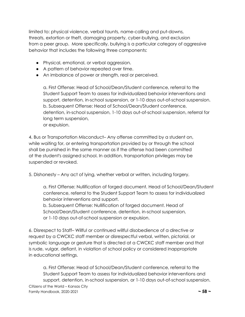limited to: physical violence, verbal taunts, name-calling and put-downs, threats, extortion or theft, damaging property, cyber-bullying, and exclusion from a peer group. More specifically, bullying is a particular category of aggressive behavior that includes the following three components:

- Physical, emotional, or verbal aggression.
- A pattern of behavior repeated over time.
- An imbalance of power or strength, real or perceived.

a. First Offense: Head of School/Dean/Student conference, referral to the Student Support Team to assess for individualized behavior interventions and support, detention, in-school suspension, or 1-10 days out-of-school suspension. b. Subsequent Offense: Head of School/Dean/Student conference, detention, in-school suspension, 1-10 days out-of-school suspension, referral for long term suspension, or expulsion.

4. Bus or Transportation Misconduct– Any offense committed by a student on, while waiting for, or entering transportation provided by or through the school shall be punished in the same manner as if the offense had been committed at the student's assigned school. In addition, transportation privileges may be suspended or revoked.

5. Dishonesty – Any act of lying, whether verbal or written, including forgery.

a. First Offense: Nullification of forged document. Head of School/Dean/Student conference, referral to the Student Support Team to assess for individualized behavior interventions and support.

b. Subsequent Offense: Nullification of forged document. Head of School/Dean/Student conference, detention, in-school suspension, or 1-10 days out-of-school suspension or expulsion.

6. Disrespect to Staff– Willful or continued willful disobedience of a directive or request by a CWCKC staff member or disrespectful verbal, written, pictorial, or symbolic language or gesture that is directed at a CWCKC staff member and that is rude, vulgar, defiant, in violation of school policy or considered inappropriate in educational settings.

a. First Offense: Head of School/Dean/Student conference, referral to the Student Support Team to assess for individualized behavior interventions and support, detention, in-school suspension, or 1-10 days out-of-school suspension.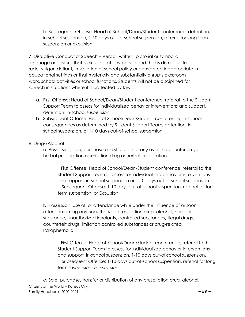b. Subsequent Offense: Head of School/Dean/Student conference, detention, in-school suspension, 1-10 days out-of-school suspension, referral for long term suspension or expulsion.

7. Disruptive Conduct or Speech – Verbal, written, pictorial or symbolic language or gesture that is directed at any person and that is disrespectful, rude, vulgar, defiant, in violation of school policy or considered inappropriate in educational settings or that materially and substantially disrupts classroom work, school activities or school functions. Students will not be disciplined for speech in situations where it is protected by law.

- a. First Offense: Head of School/Dean/Student conference, referral to the Student Support Team to assess for individualized behavior interventions and support, detention, in-school suspension.
- b. Subsequent Offense: Head of School/Dean/Student conference, in-school consequences as determined by Student Support Team, detention, inschool suspension, or 1-10 days out-of-school suspension.
- 8. Drugs/Alcohol

a. Possession, sale, purchase or distribution of any over-the-counter drug, herbal preparation or imitation drug or herbal preparation.

i. First Offense: Head of School/Dean/Student conference, referral to the Student Support Team to assess for individualized behavior interventions and support, in-school suspension or 1-10 days out-of-school suspension. ii. Subsequent Offense: 1-10 days out-of-school suspension, referral for long term suspension, or Expulsion.

b. Possession, use of, or attendance while under the influence of or soon after consuming any unauthorized prescription drug, alcohol, narcotic substance, unauthorized inhalants, controlled substances, illegal drugs, counterfeit drugs, imitation controlled substances or drug-related Paraphernalia.

i. First Offense: Head of School/Dean/Student conference, referral to the Student Support Team to assess for individualized behavior interventions and support, in-school suspension, 1-10 days out-of-school suspension. ii. Subsequent Offense: 1-10 days out-of-school suspension, referral for long term suspension, or Expulsion.

Citizens of the World – Kansas City Family Handbook, 2020-2021 **~ 59 ~** c. Sale, purchase, transfer or distribution of any prescription drug, alcohol,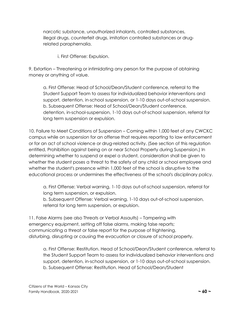narcotic substance, unauthorized inhalants, controlled substances, illegal drugs, counterfeit drugs, imitation controlled substances or drugrelated paraphernalia.

i. First Offense: Expulsion.

9. Extortion – Threatening or intimidating any person for the purpose of obtaining money or anything of value.

a. First Offense: Head of School/Dean/Student conference, referral to the Student Support Team to assess for individualized behavior interventions and support, detention, in-school suspension, or 1-10 days out-of-school suspension. b. Subsequent Offense: Head of School/Dean/Student conference, detention, in-school-suspension, 1-10 days out-of-school suspension, referral for long term suspension or expulsion.

10. Failure to Meet Conditions of Suspension – Coming within 1,000 feet of any CWCKC campus while on suspension for an offense that requires reporting to law enforcement or for an act of school violence or drug-related activity. (See section of this regulation entitled, Prohibition against being on or near School Property during Suspension.) In determining whether to suspend or expel a student, consideration shall be given to whether the student poses a threat to the safety of any child or school employee and whether the student's presence within 1,000 feet of the school is disruptive to the educational process or undermines the effectiveness of the school's disciplinary policy.

a. First Offense: Verbal warning, 1-10 days out-of-school suspension, referral for long term suspension, or expulsion.

b. Subsequent Offense: Verbal warning, 1-10 days out-of-school suspension, referral for long term suspension, or expulsion.

11. False Alarms (see also Threats or Verbal Assaults) – Tampering with emergency equipment, setting off false alarms, making false reports; communicating a threat or false report for the purpose of frightening, disturbing, disrupting or causing the evacuation or closure of school property.

a. First Offense: Restitution. Head of School/Dean/Student conference, referral to the Student Support Team to assess for individualized behavior interventions and support, detention, in-school suspension, or 1-10 days out-of-school suspension. b. Subsequent Offense: Restitution. Head of School/Dean/Student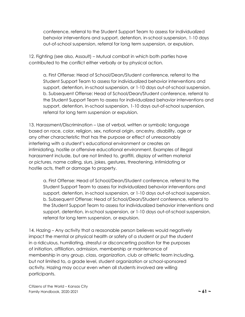conference, referral to the Student Support Team to assess for individualized behavior interventions and support, detention, in-school suspension, 1-10 days out-of-school suspension, referral for long term suspension, or expulsion.

12. Fighting (see also, Assault) – Mutual combat in which both parties have contributed to the conflict either verbally or by physical action.

a. First Offense: Head of School/Dean/Student conference, referral to the Student Support Team to assess for individualized behavior interventions and support, detention, in-school suspension, or 1-10 days out-of-school suspension. b. Subsequent Offense: Head of School/Dean/Student conference, referral to the Student Support Team to assess for individualized behavior interventions and support, detention, in-school suspension, 1-10 days out-of-school suspension, referral for long term suspension or expulsion.

13. Harassment/Discrimination – Use of verbal, written or symbolic language based on race, color, religion, sex, national origin, ancestry, disability, age or any other characteristic that has the purpose or effect of unreasonably interfering with a student's educational environment or creates an intimidating, hostile or offensive educational environment. Examples of illegal harassment include, but are not limited to, graffiti, display of written material or pictures, name calling, slurs, jokes, gestures, threatening, intimidating or hostile acts, theft or damage to property.

a. First Offense: Head of School/Dean/Student conference, referral to the Student Support Team to assess for individualized behavior interventions and support, detention, in-school suspension, or 1-10 days out-of-school suspension. b. Subsequent Offense: Head of School/Dean/Student conference, referral to the Student Support Team to assess for individualized behavior interventions and support, detention, in-school suspension, or 1-10 days out-of-school suspension, referral for long term suspension, or expulsion.

14. Hazing – Any activity that a reasonable person believes would negatively impact the mental or physical health or safety of a student or put the student in a ridiculous, humiliating, stressful or disconcerting position for the purposes of initiation, affiliation, admission, membership or maintenance of membership in any group, class, organization, club or athletic team including, but not limited to, a grade level, student organization or school-sponsored activity. Hazing may occur even when all students involved are willing participants.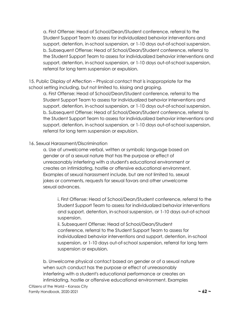a. First Offense: Head of School/Dean/Student conference, referral to the Student Support Team to assess for individualized behavior interventions and support, detention, in-school suspension, or 1-10 days out-of-school suspension. b. Subsequent Offense: Head of School/Dean/Student conference, referral to the Student Support Team to assess for individualized behavior interventions and support, detention, in-school suspension, or 1-10 days out-of-school suspension, referral for long term suspension or expulsion.

15. Public Display of Affection – Physical contact that is inappropriate for the school setting including, but not limited to, kissing and groping.

a. First Offense: Head of School/Dean/Student conference, referral to the Student Support Team to assess for individualized behavior interventions and support, detention, in-school suspension, or 1-10 days out-of-school suspension. b. Subsequent Offense: Head of School/Dean/Student conference, referral to the Student Support Team to assess for individualized behavior interventions and support, detention, in-school suspension, or 1-10 days out-of-school suspension, referral for long term suspension or expulsion.

#### 16. Sexual Harassment/Discrimination

a. Use of unwelcome verbal, written or symbolic language based on gender or of a sexual nature that has the purpose or effect of unreasonably interfering with a student's educational environment or creates an intimidating, hostile or offensive educational environment. Examples of sexual harassment include, but are not limited to, sexual jokes or comments, requests for sexual favors and other unwelcome sexual advances.

i. First Offense: Head of School/Dean/Student conference, referral to the Student Support Team to assess for individualized behavior interventions and support, detention, in-school suspension, or 1-10 days out-of-school suspension.

ii. Subsequent Offense: Head of School/Dean/Student conference, referral to the Student Support Team to assess for individualized behavior interventions and support, detention, in-school suspension, or 1-10 days out-of-school suspension, referral for long term suspension or expulsion.

b. Unwelcome physical contact based on gender or of a sexual nature when such conduct has the purpose or effect of unreasonably interfering with a student's educational performance or creates an intimidating, hostile or offensive educational environment. Examples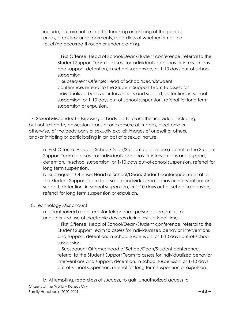include, but are not limited to, touching or fondling of the genital areas, breasts or undergarments, regardless of whether or not the touching occurred through or under clothing.

> i. First Offense: Head of School/Dean/Student conference, referral to the Student Support Team to assess for individualized behavior interventions and support, detention, in-school suspension, or 1-10 days out-of-school suspension.

ii. Subsequent Offense: Head of School/Dean/Student conference, referral to the Student Support Team to assess for individualized behavior interventions and support, detention, in-school suspension, or 1-10 days out-of-school suspension, referral for long term suspension or expulsion.

17. Sexual Misconduct – Exposing of body parts to another individual including, but not limited to, possession, transfer or exposure of images, electronic or otherwise, of the body parts or sexually explicit images of oneself or others, and/or initiating or participating in an act of a sexual nature.

a. First Offense: Head of School/Dean/Student conference,referral to the Student Support Team to assess for individualized behavior interventions and support, detention, in-school suspension, or 1-10 days out-of-school suspension, referral for long term suspension.

b. Subsequent Offense: Head of School/Dean/Student conference, referral to the Student Support Team to assess for individualized behavior interventions and support, detention, in-school suspension, or 1-10 days out-of-school suspension, referral for long term suspension or expulsion.

#### 18. Technology Misconduct

a. Unauthorized use of cellular telephones, personal computers, or unauthorized use of electronic devices during instructional time.

> i. First Offense: Head of School/Dean/Student conference, referral to the Student Support Team to assess for individualized behavior interventions and support, detention, in-school suspension, or 1-10 days out-of-school suspension.

> ii. Subsequent Offense: Head of School/Dean/Student conference, referral to the Student Support Team to assess for individualized behavior interventions and support, detention, in-school suspension, or 1-10 days out-of-school suspension, referral for long term suspension or expulsion.

Citizens of the World – Kansas City Family Handbook, 2020-2021 **~ 63 ~** b. Attempting, regardless of success, to gain unauthorized access to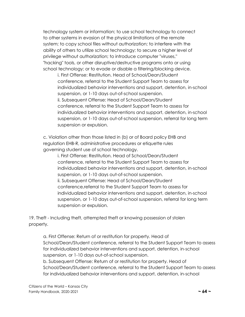technology system or information; to use school technology to connect to other systems in evasion of the physical limitations of the remote system; to copy school files without authorization; to interfere with the ability of others to utilize school technology; to secure a higher level of privilege without authorization; to introduce computer "viruses," "hacking" tools, or other disruptive/destructive programs onto or using school technology; or to evade or disable a filtering/blocking device.

i. First Offense: Restitution. Head of School/Dean/Student conference, referral to the Student Support Team to assess for individualized behavior interventions and support, detention, in-school suspension, or 1-10 days out-of-school suspension. ii. Subsequent Offense: Head of School/Dean/Student conference, referral to the Student Support Team to assess for individualized behavior interventions and support, detention, in-school suspension, or 1-10 days out-of-school suspension, referral for long term suspension or expulsion.

c. Violation other than those listed in (b) or of Board policy EHB and regulation EHB-R, administrative procedures or etiquette rules governing student use of school technology.

i. First Offense: Restitution. Head of School/Dean/Student conference, referral to the Student Support Team to assess for individualized behavior interventions and support, detention, in-school suspension, or 1-10 days out-of-school suspension. ii. Subsequent Offense: Head of School/Dean/Student conference,referral to the Student Support Team to assess for individualized behavior interventions and support, detention, in-school suspension, or 1-10 days out-of-school suspension, referral for long term suspension or expulsion.

19. Theft - Including theft, attempted theft or knowing possession of stolen property.

a. First Offense: Return of or restitution for property. Head of School/Dean/Student conference, referral to the Student Support Team to assess for individualized behavior interventions and support, detention, in-school suspension, or 1-10 days out-of-school suspension.

b. Subsequent Offense: Return of or restitution for property. Head of School/Dean/Student conference, referral to the Student Support Team to assess for individualized behavior interventions and support, detention, in-school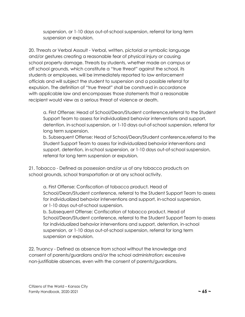suspension, or 1-10 days out-of-school suspension, referral for long term suspension or expulsion.

20. Threats or Verbal Assault - Verbal, written, pictorial or symbolic language and/or gestures creating a reasonable fear of physical injury or causing school property damage. Threats by students, whether made on campus or off school grounds, which constitute a "true threat" against the school, its students or employees, will be immediately reported to law enforcement officials and will subject the student to suspension and a possible referral for expulsion. The definition of "true threat" shall be construed in accordance with applicable law and encompasses those statements that a reasonable recipient would view as a serious threat of violence or death.

a. First Offense: Head of School/Dean/Student conference,referral to the Student Support Team to assess for individualized behavior interventions and support, detention, in-school suspension, or 1-10 days out-of-school suspension, referral for long term suspension.

b. Subsequent Offense: Head of School/Dean/Student conference,referral to the Student Support Team to assess for individualized behavior interventions and support, detention, in-school suspension, or 1-10 days out-of-school suspension, referral for long term suspension or expulsion.

21. Tobacco - Defined as possession and/or us of any tobacco products on school grounds, school transportation or at any school activity.

a. First Offense: Confiscation of tobacco product. Head of School/Dean/Student conference, referral to the Student Support Team to assess for individualized behavior interventions and support, in-school suspension, or 1-10 days out-of-school suspension.

b. Subsequent Offense: Confiscation of tobacco product. Head of School/Dean/Student conference, referral to the Student Support Team to assess for individualized behavior interventions and support, detention, in-school suspension, or 1-10 days out-of-school suspension, referral for long term suspension or expulsion.

22. Truancy - Defined as absence from school without the knowledge and consent of parents/guardians and/or the school administration; excessive non-justifiable absences, even with the consent of parents/guardians.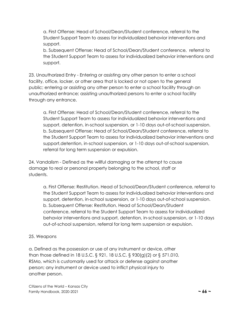a. First Offense: Head of School/Dean/Student conference, referral to the Student Support Team to assess for individualized behavior interventions and support.

b. Subsequent Offense: Head of School/Dean/Student conference, referral to the Student Support Team to assess for individualized behavior interventions and support.

23. Unauthorized Entry - Entering or assisting any other person to enter a school facility, office, locker, or other area that is locked or not open to the general public; entering or assisting any other person to enter a school facility through an unauthorized entrance; assisting unauthorized persons to enter a school facility through any entrance.

a. First Offense: Head of School/Dean/Student conference, referral to the Student Support Team to assess for individualized behavior interventions and support, detention, in-school suspension, or 1-10 days out-of-school suspension. b. Subsequent Offense: Head of School/Dean/Student conference, referral to the Student Support Team to assess for individualized behavior interventions and support,detention, in-school suspension, or 1-10 days out-of-school suspension, referral for long term suspension or expulsion.

24. Vandalism - Defined as the willful damaging or the attempt to cause damage to real or personal property belonging to the school, staff or students.

a. First Offense: Restitution. Head of School/Dean/Student conference, referral to the Student Support Team to assess for individualized behavior interventions and support, detention, in-school suspension, or 1-10 days out-of-school suspension. b. Subsequent Offense: Restitution. Head of School/Dean/Student conference, referral to the Student Support Team to assess for individualized behavior interventions and support, detention, in-school suspension, or 1-10 days out-of-school suspension, referral for long term suspension or expulsion.

#### 25. Weapons

a. Defined as the possession or use of any instrument or device, other than those defined in 18 U.S.C. § 921, 18 U.S.C. § 930(g)(2) or § 571.010, RSMo, which is customarily used for attack or defense against another person; any instrument or device used to inflict physical injury to another person.